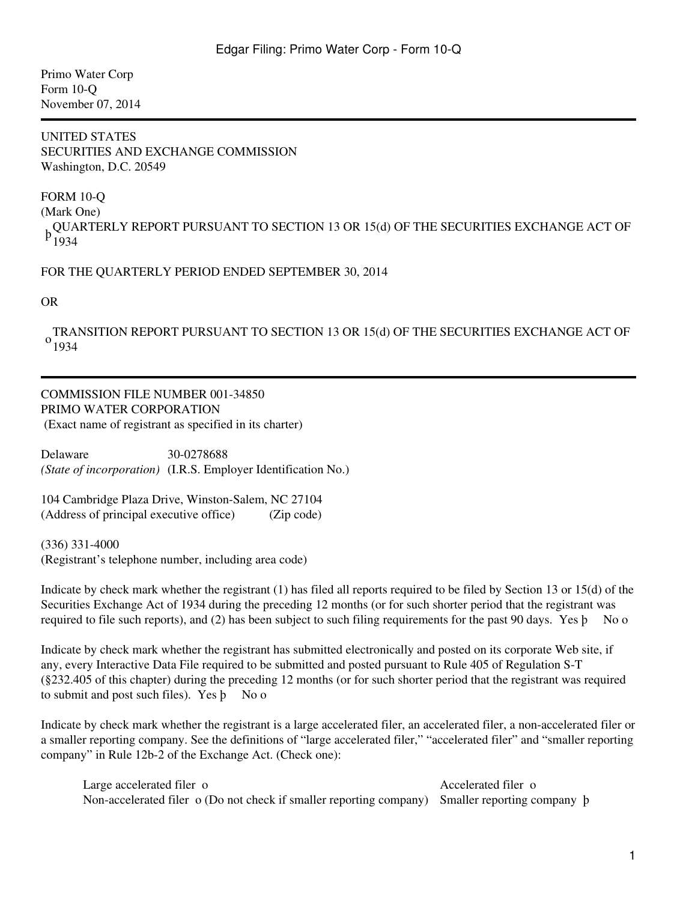Primo Water Corp Form 10-Q November 07, 2014

#### UNITED STATES SECURITIES AND EXCHANGE COMMISSION Washington, D.C. 20549

FORM 10-Q

(Mark One)

, QUARTERLY REPORT PURSUANT TO SECTION 13 OR 15(d) OF THE SECURITIES EXCHANGE ACT OF<br>P 1024 1934

FOR THE QUARTERLY PERIOD ENDED SEPTEMBER 30, 2014

OR

 $^{0}$ <sub>1934</sub> TRANSITION REPORT PURSUANT TO SECTION 13 OR 15(d) OF THE SECURITIES EXCHANGE ACT OF

# COMMISSION FILE NUMBER 001-34850 PRIMO WATER CORPORATION

(Exact name of registrant as specified in its charter)

Delaware 30-0278688 *(State of incorporation)* (I.R.S. Employer Identification No.)

104 Cambridge Plaza Drive, Winston-Salem, NC 27104 (Address of principal executive office) (Zip code)

(336) 331-4000 (Registrant's telephone number, including area code)

Indicate by check mark whether the registrant (1) has filed all reports required to be filed by Section 13 or 15(d) of the Securities Exchange Act of 1934 during the preceding 12 months (or for such shorter period that the registrant was required to file such reports), and (2) has been subject to such filing requirements for the past 90 days. Yes  $\mathfrak b$  No o

Indicate by check mark whether the registrant has submitted electronically and posted on its corporate Web site, if any, every Interactive Data File required to be submitted and posted pursuant to Rule 405 of Regulation S-T (§232.405 of this chapter) during the preceding 12 months (or for such shorter period that the registrant was required to submit and post such files). Yes **b** No o

Indicate by check mark whether the registrant is a large accelerated filer, an accelerated filer, a non-accelerated filer or a smaller reporting company. See the definitions of "large accelerated filer," "accelerated filer" and "smaller reporting company" in Rule 12b-2 of the Exchange Act. (Check one):

Large accelerated filer o Accelerated filer o Accelerated filer o Non-accelerated filer o (Do not check if smaller reporting company) Smaller reporting company þ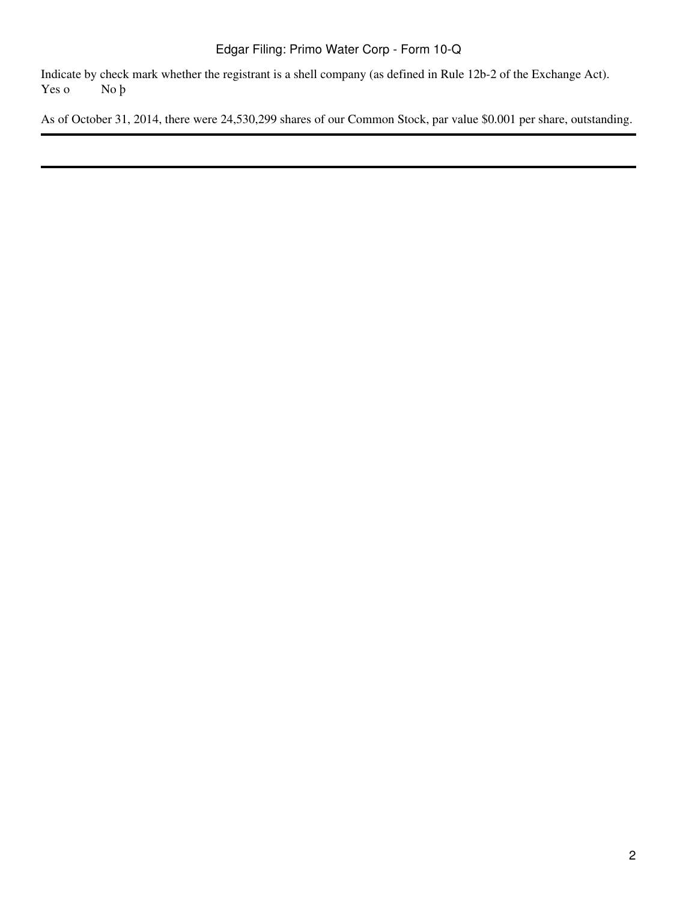Indicate by check mark whether the registrant is a shell company (as defined in Rule 12b-2 of the Exchange Act).<br>Yes o No  $\beta$ Yes o

As of October 31, 2014, there were 24,530,299 shares of our Common Stock, par value \$0.001 per share, outstanding.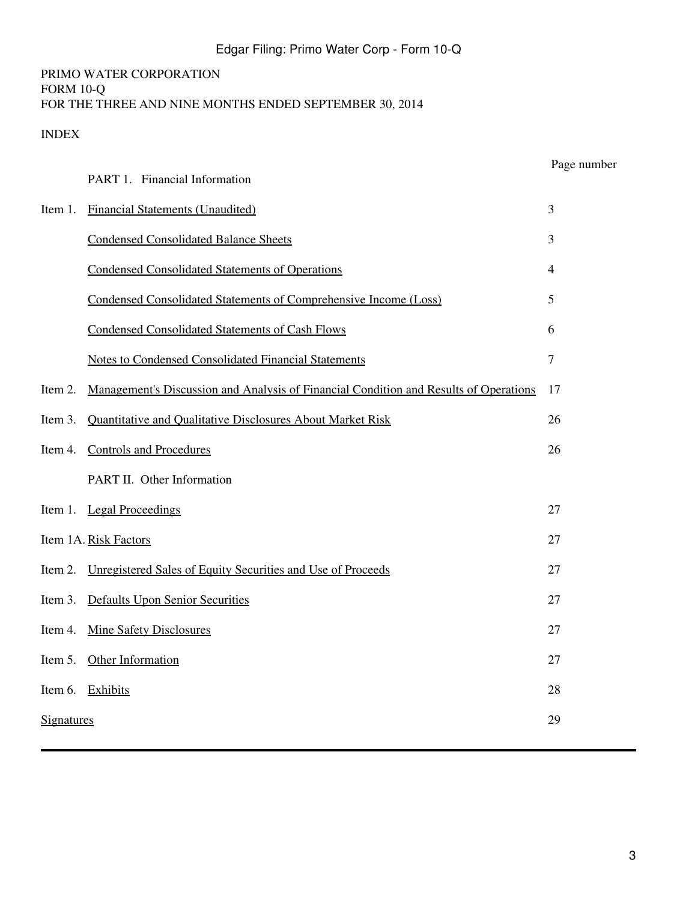# PRIMO WATER CORPORATION FORM 10-Q FOR THE THREE AND NINE MONTHS ENDED SEPTEMBER 30, 2014

# <span id="page-2-0"></span>INDEX

|                   | PART 1. Financial Information                                                         | Page number    |
|-------------------|---------------------------------------------------------------------------------------|----------------|
| Item 1.           | <b>Financial Statements (Unaudited)</b>                                               | $\mathfrak{Z}$ |
|                   | <b>Condensed Consolidated Balance Sheets</b>                                          | $\mathfrak{Z}$ |
|                   | <b>Condensed Consolidated Statements of Operations</b>                                | $\overline{4}$ |
|                   | Condensed Consolidated Statements of Comprehensive Income (Loss)                      | 5              |
|                   | <b>Condensed Consolidated Statements of Cash Flows</b>                                | 6              |
|                   | <b>Notes to Condensed Consolidated Financial Statements</b>                           | $\overline{7}$ |
| Item 2.           | Management's Discussion and Analysis of Financial Condition and Results of Operations | 17             |
| Item 3.           | <b>Ouantitative and Oualitative Disclosures About Market Risk</b>                     | 26             |
|                   | Item 4. Controls and Procedures                                                       | 26             |
|                   | PART II. Other Information                                                            |                |
|                   | Item 1. Legal Proceedings                                                             | 27             |
|                   | Item 1A. Risk Factors                                                                 | 27             |
|                   | Item 2. Unregistered Sales of Equity Securities and Use of Proceeds                   | 27             |
|                   | Item 3. Defaults Upon Senior Securities                                               | 27             |
|                   | Item 4. Mine Safety Disclosures                                                       | 27             |
| Item 5.           | Other Information                                                                     | 27             |
|                   | Item 6. Exhibits                                                                      | 28             |
| <b>Signatures</b> |                                                                                       | 29             |
|                   |                                                                                       |                |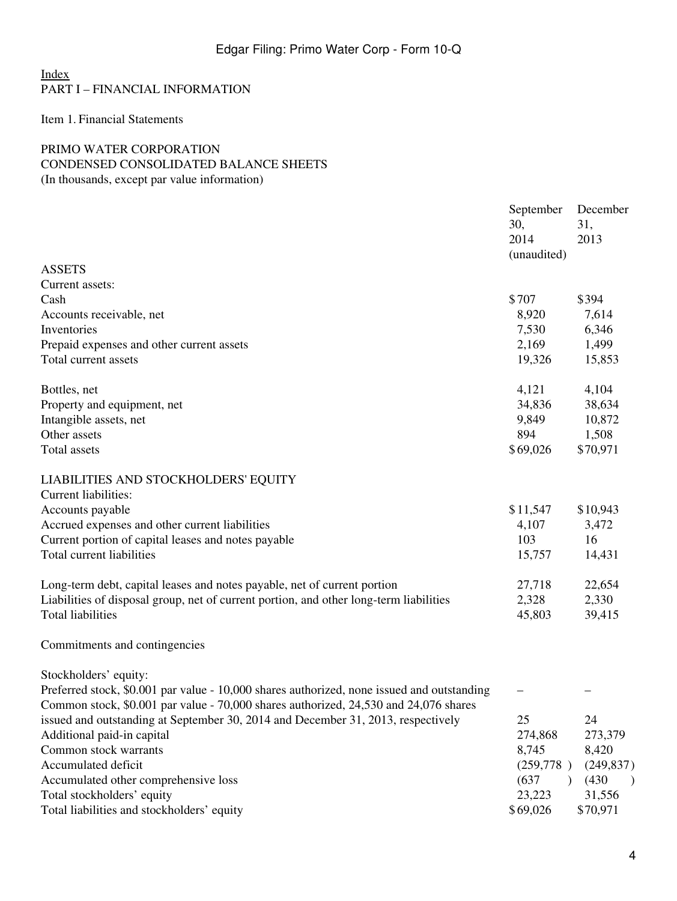# [Index](#page-2-0) PART I – FINANCIAL INFORMATION

<span id="page-3-0"></span>Item 1. Financial Statements

## <span id="page-3-1"></span>PRIMO WATER CORPORATION CONDENSED CONSOLIDATED BALANCE SHEETS (In thousands, except par value information)

|                                                                                            | September<br>30,<br>2014<br>(unaudited) | December<br>31,<br>2013 |
|--------------------------------------------------------------------------------------------|-----------------------------------------|-------------------------|
| <b>ASSETS</b>                                                                              |                                         |                         |
| Current assets:                                                                            |                                         |                         |
| Cash                                                                                       | \$707                                   | \$394                   |
| Accounts receivable, net                                                                   | 8,920                                   | 7,614                   |
| Inventories                                                                                | 7,530                                   | 6,346                   |
| Prepaid expenses and other current assets                                                  | 2,169                                   | 1,499                   |
| Total current assets                                                                       | 19,326                                  | 15,853                  |
| Bottles, net                                                                               | 4,121                                   | 4,104                   |
| Property and equipment, net                                                                | 34,836                                  | 38,634                  |
| Intangible assets, net                                                                     | 9,849                                   | 10,872                  |
| Other assets                                                                               | 894                                     | 1,508                   |
| <b>Total assets</b>                                                                        | \$69,026                                | \$70,971                |
| LIABILITIES AND STOCKHOLDERS' EQUITY                                                       |                                         |                         |
| <b>Current liabilities:</b>                                                                |                                         |                         |
| Accounts payable                                                                           | \$11,547                                | \$10,943                |
| Accrued expenses and other current liabilities                                             | 4,107                                   | 3,472                   |
| Current portion of capital leases and notes payable                                        | 103                                     | 16                      |
| Total current liabilities                                                                  | 15,757                                  | 14,431                  |
| Long-term debt, capital leases and notes payable, net of current portion                   | 27,718                                  | 22,654                  |
| Liabilities of disposal group, net of current portion, and other long-term liabilities     | 2,328                                   | 2,330                   |
| <b>Total liabilities</b>                                                                   | 45,803                                  | 39,415                  |
| Commitments and contingencies                                                              |                                         |                         |
| Stockholders' equity:                                                                      |                                         |                         |
| Preferred stock, \$0.001 par value - 10,000 shares authorized, none issued and outstanding |                                         |                         |
| Common stock, \$0.001 par value - 70,000 shares authorized, 24,530 and 24,076 shares       |                                         |                         |
| issued and outstanding at September 30, 2014 and December 31, 2013, respectively           | 25                                      | 24                      |
| Additional paid-in capital                                                                 | 274,868                                 | 273,379                 |
| Common stock warrants                                                                      | 8,745                                   | 8,420                   |
| Accumulated deficit                                                                        | (259,778)                               | (249, 837)              |
| Accumulated other comprehensive loss                                                       | (637)<br>$\lambda$                      | (430)                   |
| Total stockholders' equity                                                                 | 23,223                                  | 31,556                  |
| Total liabilities and stockholders' equity                                                 | \$69,026                                | \$70,971                |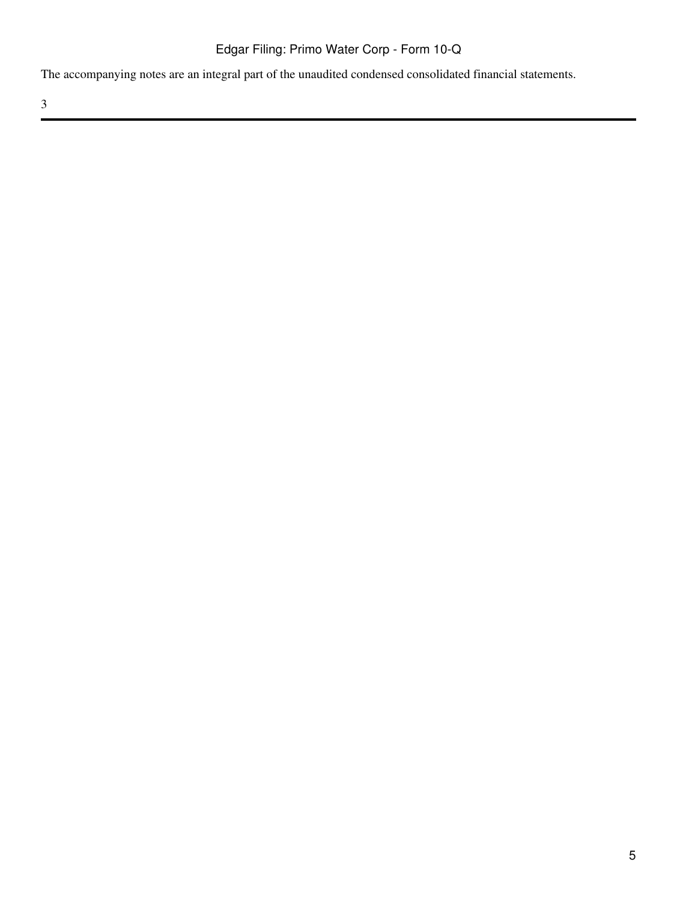The accompanying notes are an integral part of the unaudited condensed consolidated financial statements.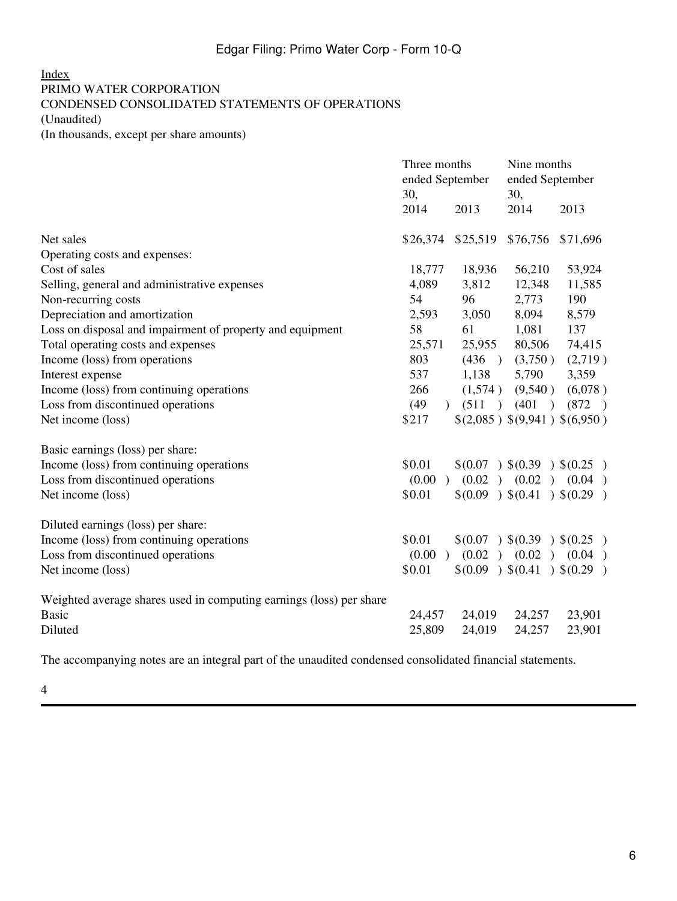## <span id="page-5-0"></span>[Index](#page-2-0) PRIMO WATER CORPORATION CONDENSED CONSOLIDATED STATEMENTS OF OPERATIONS (Unaudited) (In thousands, except per share amounts)

|                                                                     | Three months<br>ended September<br>30, |                   | Nine months<br>ended September<br>30, |                            |
|---------------------------------------------------------------------|----------------------------------------|-------------------|---------------------------------------|----------------------------|
|                                                                     | 2014                                   | 2013              | 2014                                  | 2013                       |
| Net sales                                                           | \$26,374                               | \$25,519          | \$76,756                              | \$71,696                   |
| Operating costs and expenses:                                       |                                        |                   |                                       |                            |
| Cost of sales                                                       | 18,777                                 | 18,936            | 56,210                                | 53,924                     |
| Selling, general and administrative expenses                        | 4,089                                  | 3,812             | 12,348                                | 11,585                     |
| Non-recurring costs                                                 | 54                                     | 96                | 2,773                                 | 190                        |
| Depreciation and amortization                                       | 2,593                                  | 3,050             | 8,094                                 | 8,579                      |
| Loss on disposal and impairment of property and equipment           | 58                                     | 61                | 1,081                                 | 137                        |
| Total operating costs and expenses                                  | 25,571                                 | 25,955            | 80,506                                | 74,415                     |
| Income (loss) from operations                                       | 803                                    | (436)             | (3,750)                               | (2,719)                    |
| Interest expense                                                    | 537                                    | 1,138             | 5,790                                 | 3,359                      |
| Income (loss) from continuing operations                            | 266                                    | (1,574)           | (9,540)                               | (6,078)                    |
| Loss from discontinued operations                                   | (49)                                   | $(511)$ $(401)$   |                                       | (872)                      |
| Net income (loss)                                                   | \$217                                  |                   | \$(2,085) \$(9,941) \$(6,950)         |                            |
| Basic earnings (loss) per share:                                    |                                        |                   |                                       |                            |
| Income (loss) from continuing operations                            | \$0.01                                 |                   |                                       | \$(0.07) \$(0.39) \$(0.25) |
| Loss from discontinued operations                                   | (0.00)                                 | (0.02)            | (0.02)                                | (0.04)                     |
| Net income (loss)                                                   | \$0.01                                 | \$(0.09) \$(0.41) |                                       | (0.29)                     |
| Diluted earnings (loss) per share:                                  |                                        |                   |                                       |                            |
| Income (loss) from continuing operations                            | \$0.01                                 |                   |                                       | \$(0.07) \$(0.39) \$(0.25) |
| Loss from discontinued operations                                   | (0.00)                                 | $(0.02)$ $(0.02)$ |                                       | (0.04)                     |
| Net income (loss)                                                   | \$0.01                                 | \$(0.09) \$(0.41) |                                       | (0.29)                     |
| Weighted average shares used in computing earnings (loss) per share |                                        |                   |                                       |                            |
| <b>Basic</b>                                                        | 24,457                                 | 24,019            | 24,257                                | 23,901                     |
| Diluted                                                             | 25,809                                 | 24,019            | 24,257                                | 23,901                     |

The accompanying notes are an integral part of the unaudited condensed consolidated financial statements.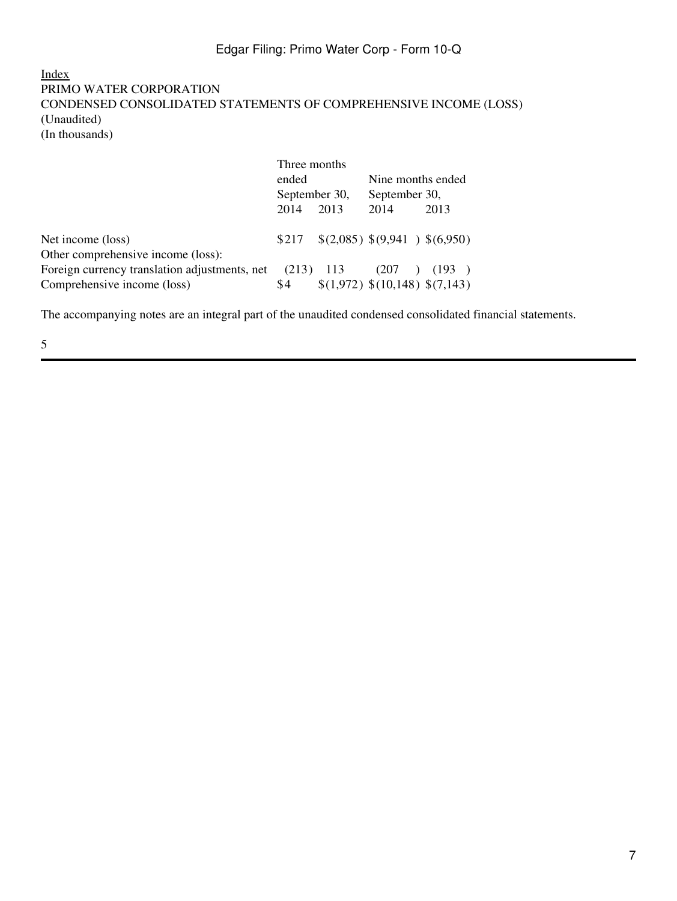## <span id="page-6-0"></span>[Index](#page-2-0) PRIMO WATER CORPORATION CONDENSED CONSOLIDATED STATEMENTS OF COMPREHENSIVE INCOME (LOSS) (Unaudited) (In thousands)

|                                               | Three months  |      |                   |                                |
|-----------------------------------------------|---------------|------|-------------------|--------------------------------|
|                                               | ended         |      | Nine months ended |                                |
|                                               | September 30, |      | September 30,     |                                |
|                                               | 2014          | 2013 | 2014              | 2013                           |
| Net income (loss)                             | \$217         |      |                   | \$(2,085) \$(9,941) \$(6,950)  |
| Other comprehensive income (loss):            |               |      |                   |                                |
| Foreign currency translation adjustments, net | $(213)$ 113   |      | (207)             | (193)                          |
| Comprehensive income (loss)                   | \$4           |      |                   | \$(1,972) \$(10,148) \$(7,143) |

The accompanying notes are an integral part of the unaudited condensed consolidated financial statements.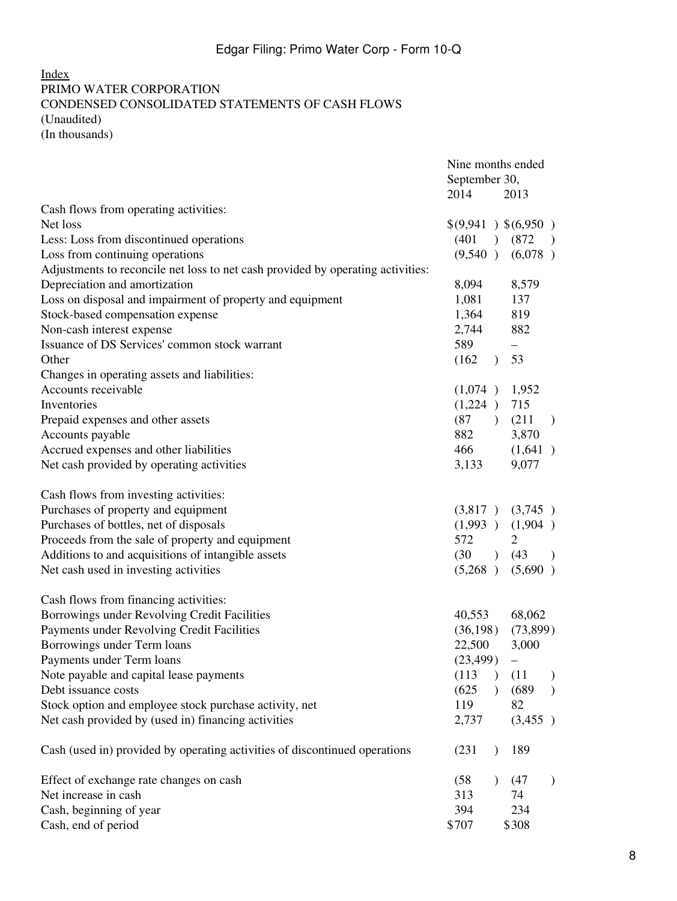## <span id="page-7-0"></span>[Index](#page-2-0) PRIMO WATER CORPORATION CONDENSED CONSOLIDATED STATEMENTS OF CASH FLOWS (Unaudited) (In thousands)

|                                                                                 | Nine months ended<br>September 30,<br>2014 | 2013                   |
|---------------------------------------------------------------------------------|--------------------------------------------|------------------------|
| Cash flows from operating activities:                                           |                                            |                        |
| Net loss                                                                        | \$(9,941) \$(6,950)                        |                        |
| Less: Loss from discontinued operations                                         | (401)                                      | (872)<br>$\rightarrow$ |
| Loss from continuing operations                                                 |                                            | $(9,540)$ $(6,078)$    |
| Adjustments to reconcile net loss to net cash provided by operating activities: |                                            |                        |
| Depreciation and amortization                                                   | 8,094                                      | 8,579                  |
| Loss on disposal and impairment of property and equipment                       | 1,081                                      | 137                    |
| Stock-based compensation expense                                                | 1,364                                      | 819                    |
| Non-cash interest expense                                                       | 2,744                                      | 882                    |
| Issuance of DS Services' common stock warrant                                   | 589                                        | $\qquad \qquad -$      |
| Other                                                                           | (162)<br>$\lambda$                         | 53                     |
| Changes in operating assets and liabilities:                                    |                                            |                        |
| Accounts receivable                                                             | (1,074)                                    | 1,952                  |
| Inventories                                                                     | (1,224)                                    | 715                    |
| Prepaid expenses and other assets                                               | (87)<br>$\lambda$                          | (211)<br>$\rightarrow$ |
| Accounts payable                                                                | 882                                        | 3,870                  |
| Accrued expenses and other liabilities                                          | 466                                        | (1,641)                |
| Net cash provided by operating activities                                       | 3,133                                      | 9,077                  |
| Cash flows from investing activities:                                           |                                            |                        |
| Purchases of property and equipment                                             | (3,817)                                    | (3,745)                |
| Purchases of bottles, net of disposals                                          | (1,993)                                    | (1,904)                |
| Proceeds from the sale of property and equipment                                | 572                                        | $\overline{2}$         |
| Additions to and acquisitions of intangible assets                              | (30)<br>$\rightarrow$                      | (43)<br>$\rightarrow$  |
| Net cash used in investing activities                                           | (5,268)                                    | (5,690)                |
| Cash flows from financing activities:                                           |                                            |                        |
| Borrowings under Revolving Credit Facilities                                    | 40,553                                     | 68,062                 |
| Payments under Revolving Credit Facilities                                      | (36,198)                                   | (73,899)               |
| Borrowings under Term loans                                                     | 22,500                                     | 3,000                  |
| Payments under Term loans                                                       | (23, 499)                                  | —                      |
| Note payable and capital lease payments                                         | (113)<br>$\lambda$                         | (11)                   |
| Debt issuance costs                                                             | (625)                                      | (689)<br>$\lambda$     |
| Stock option and employee stock purchase activity, net                          | 119                                        | 82                     |
| Net cash provided by (used in) financing activities                             | 2,737                                      | (3,455)                |
| Cash (used in) provided by operating activities of discontinued operations      | (231)                                      | 189                    |
| Effect of exchange rate changes on cash                                         | (58)                                       | (47)<br>$\lambda$      |
| Net increase in cash                                                            | 313                                        | 74                     |
| Cash, beginning of year                                                         | 394                                        | 234                    |
| Cash, end of period                                                             | \$707                                      | \$308                  |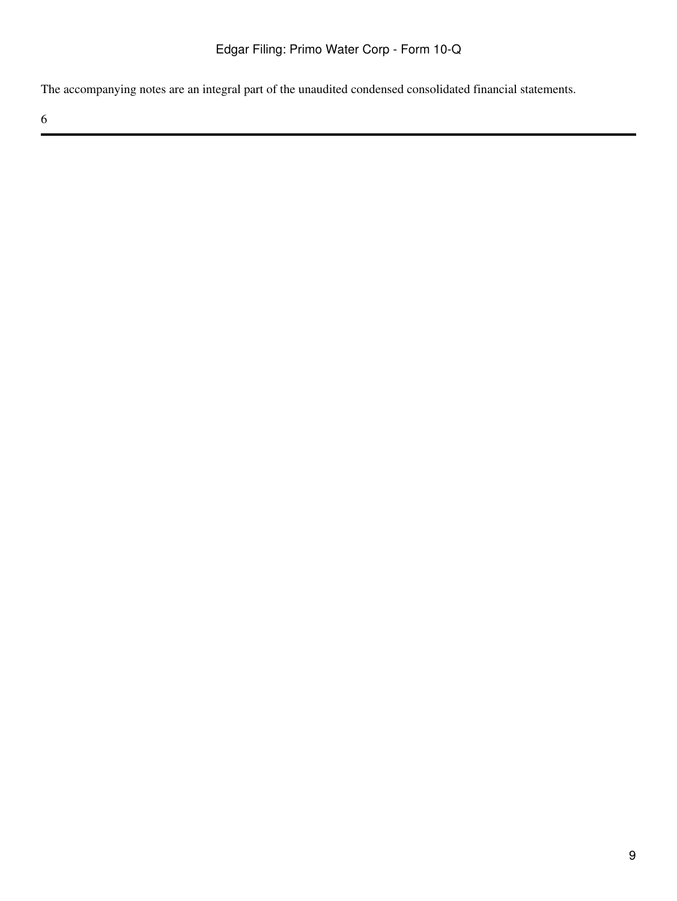The accompanying notes are an integral part of the unaudited condensed consolidated financial statements.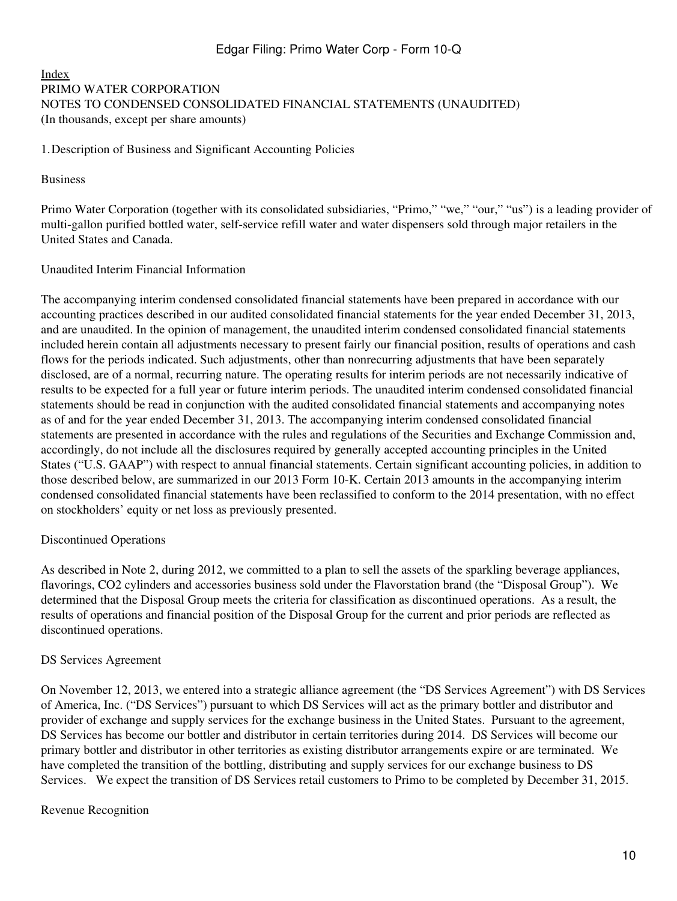#### <span id="page-9-0"></span>[Index](#page-2-0) PRIMO WATER CORPORATION NOTES TO CONDENSED CONSOLIDATED FINANCIAL STATEMENTS (UNAUDITED) (In thousands, except per share amounts)

1.Description of Business and Significant Accounting Policies

#### Business

Primo Water Corporation (together with its consolidated subsidiaries, "Primo," "we," "our," "us") is a leading provider of multi-gallon purified bottled water, self-service refill water and water dispensers sold through major retailers in the United States and Canada.

#### Unaudited Interim Financial Information

The accompanying interim condensed consolidated financial statements have been prepared in accordance with our accounting practices described in our audited consolidated financial statements for the year ended December 31, 2013, and are unaudited. In the opinion of management, the unaudited interim condensed consolidated financial statements included herein contain all adjustments necessary to present fairly our financial position, results of operations and cash flows for the periods indicated. Such adjustments, other than nonrecurring adjustments that have been separately disclosed, are of a normal, recurring nature. The operating results for interim periods are not necessarily indicative of results to be expected for a full year or future interim periods. The unaudited interim condensed consolidated financial statements should be read in conjunction with the audited consolidated financial statements and accompanying notes as of and for the year ended December 31, 2013. The accompanying interim condensed consolidated financial statements are presented in accordance with the rules and regulations of the Securities and Exchange Commission and, accordingly, do not include all the disclosures required by generally accepted accounting principles in the United States ("U.S. GAAP") with respect to annual financial statements. Certain significant accounting policies, in addition to those described below, are summarized in our 2013 Form 10-K. Certain 2013 amounts in the accompanying interim condensed consolidated financial statements have been reclassified to conform to the 2014 presentation, with no effect on stockholders' equity or net loss as previously presented.

## Discontinued Operations

As described in Note 2, during 2012, we committed to a plan to sell the assets of the sparkling beverage appliances, flavorings, CO2 cylinders and accessories business sold under the Flavorstation brand (the "Disposal Group"). We determined that the Disposal Group meets the criteria for classification as discontinued operations. As a result, the results of operations and financial position of the Disposal Group for the current and prior periods are reflected as discontinued operations.

#### DS Services Agreement

On November 12, 2013, we entered into a strategic alliance agreement (the "DS Services Agreement") with DS Services of America, Inc. ("DS Services") pursuant to which DS Services will act as the primary bottler and distributor and provider of exchange and supply services for the exchange business in the United States. Pursuant to the agreement, DS Services has become our bottler and distributor in certain territories during 2014. DS Services will become our primary bottler and distributor in other territories as existing distributor arrangements expire or are terminated. We have completed the transition of the bottling, distributing and supply services for our exchange business to DS Services. We expect the transition of DS Services retail customers to Primo to be completed by December 31, 2015.

#### Revenue Recognition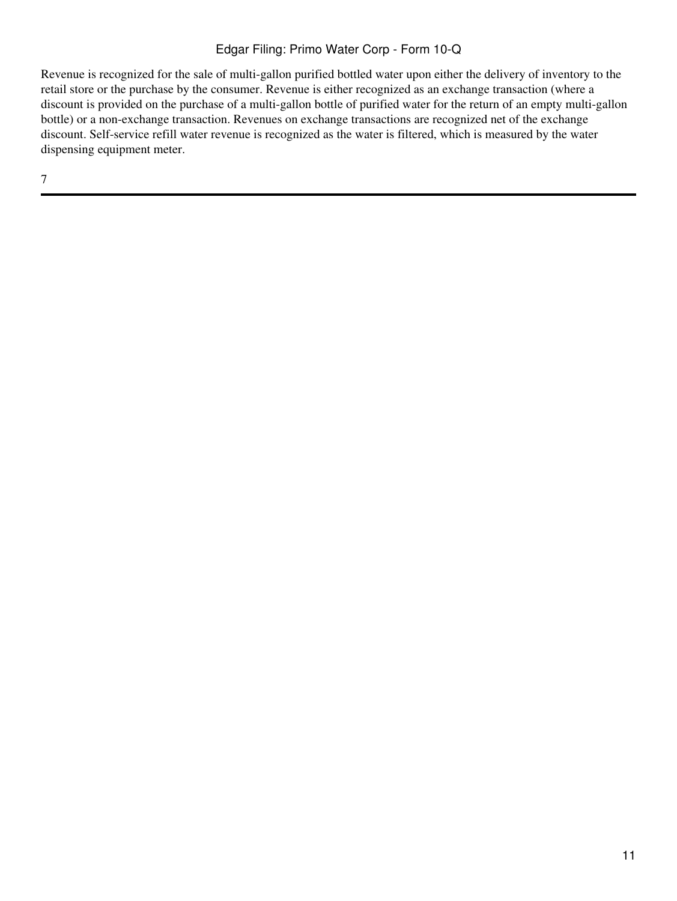Revenue is recognized for the sale of multi-gallon purified bottled water upon either the delivery of inventory to the retail store or the purchase by the consumer. Revenue is either recognized as an exchange transaction (where a discount is provided on the purchase of a multi-gallon bottle of purified water for the return of an empty multi-gallon bottle) or a non-exchange transaction. Revenues on exchange transactions are recognized net of the exchange discount. Self-service refill water revenue is recognized as the water is filtered, which is measured by the water dispensing equipment meter.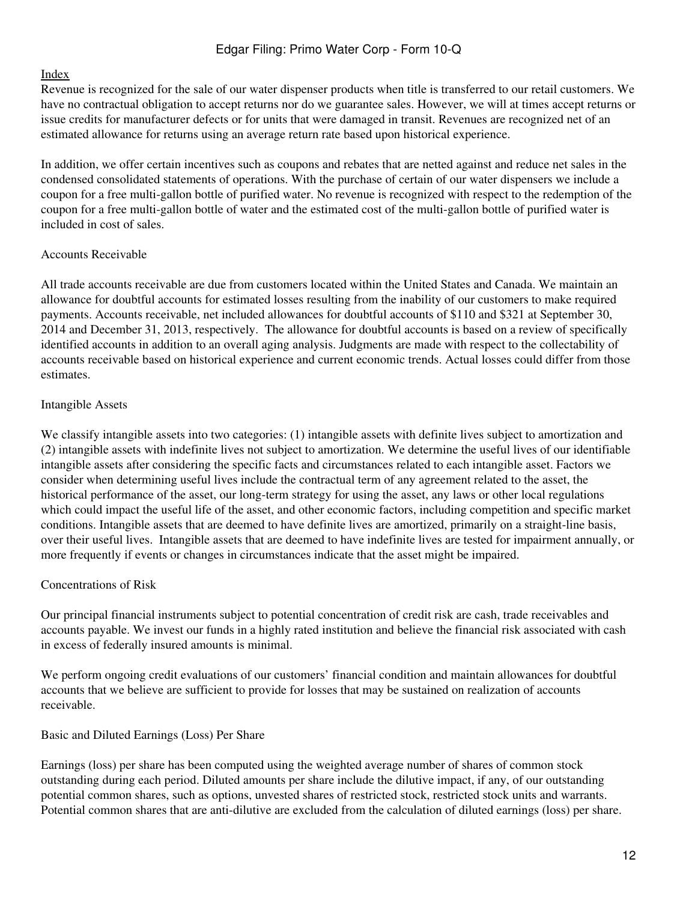#### [Index](#page-2-0)

Revenue is recognized for the sale of our water dispenser products when title is transferred to our retail customers. We have no contractual obligation to accept returns nor do we guarantee sales. However, we will at times accept returns or issue credits for manufacturer defects or for units that were damaged in transit. Revenues are recognized net of an estimated allowance for returns using an average return rate based upon historical experience.

In addition, we offer certain incentives such as coupons and rebates that are netted against and reduce net sales in the condensed consolidated statements of operations. With the purchase of certain of our water dispensers we include a coupon for a free multi-gallon bottle of purified water. No revenue is recognized with respect to the redemption of the coupon for a free multi-gallon bottle of water and the estimated cost of the multi-gallon bottle of purified water is included in cost of sales.

#### Accounts Receivable

All trade accounts receivable are due from customers located within the United States and Canada. We maintain an allowance for doubtful accounts for estimated losses resulting from the inability of our customers to make required payments. Accounts receivable, net included allowances for doubtful accounts of \$110 and \$321 at September 30, 2014 and December 31, 2013, respectively. The allowance for doubtful accounts is based on a review of specifically identified accounts in addition to an overall aging analysis. Judgments are made with respect to the collectability of accounts receivable based on historical experience and current economic trends. Actual losses could differ from those estimates.

#### Intangible Assets

We classify intangible assets into two categories: (1) intangible assets with definite lives subject to amortization and (2) intangible assets with indefinite lives not subject to amortization. We determine the useful lives of our identifiable intangible assets after considering the specific facts and circumstances related to each intangible asset. Factors we consider when determining useful lives include the contractual term of any agreement related to the asset, the historical performance of the asset, our long-term strategy for using the asset, any laws or other local regulations which could impact the useful life of the asset, and other economic factors, including competition and specific market conditions. Intangible assets that are deemed to have definite lives are amortized, primarily on a straight-line basis, over their useful lives. Intangible assets that are deemed to have indefinite lives are tested for impairment annually, or more frequently if events or changes in circumstances indicate that the asset might be impaired.

## Concentrations of Risk

Our principal financial instruments subject to potential concentration of credit risk are cash, trade receivables and accounts payable. We invest our funds in a highly rated institution and believe the financial risk associated with cash in excess of federally insured amounts is minimal.

We perform ongoing credit evaluations of our customers' financial condition and maintain allowances for doubtful accounts that we believe are sufficient to provide for losses that may be sustained on realization of accounts receivable.

## Basic and Diluted Earnings (Loss) Per Share

Earnings (loss) per share has been computed using the weighted average number of shares of common stock outstanding during each period. Diluted amounts per share include the dilutive impact, if any, of our outstanding potential common shares, such as options, unvested shares of restricted stock, restricted stock units and warrants. Potential common shares that are anti-dilutive are excluded from the calculation of diluted earnings (loss) per share.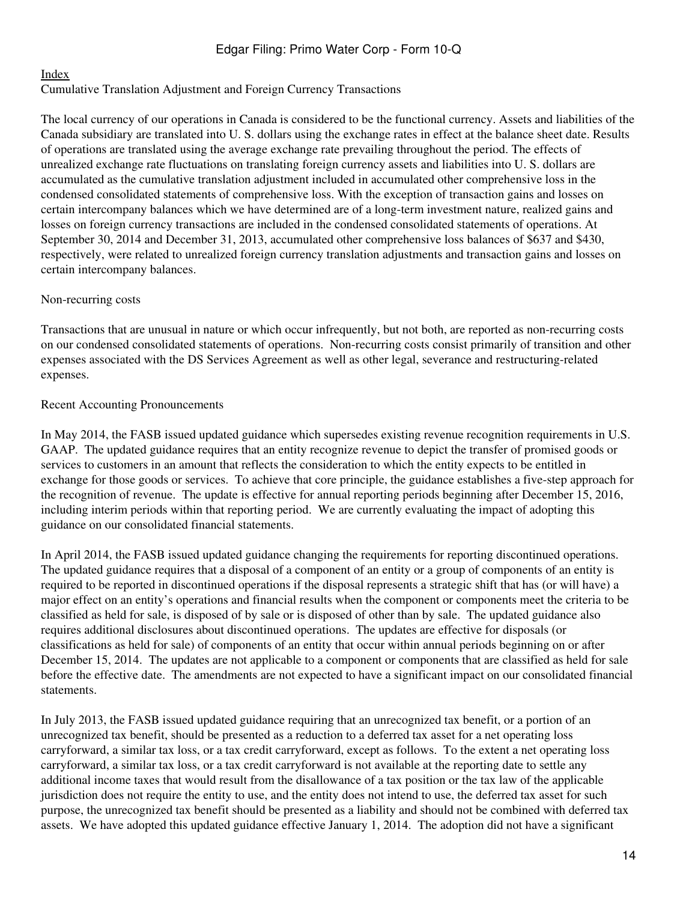#### [Index](#page-2-0)

#### Cumulative Translation Adjustment and Foreign Currency Transactions

The local currency of our operations in Canada is considered to be the functional currency. Assets and liabilities of the Canada subsidiary are translated into U. S. dollars using the exchange rates in effect at the balance sheet date. Results of operations are translated using the average exchange rate prevailing throughout the period. The effects of unrealized exchange rate fluctuations on translating foreign currency assets and liabilities into U. S. dollars are accumulated as the cumulative translation adjustment included in accumulated other comprehensive loss in the condensed consolidated statements of comprehensive loss. With the exception of transaction gains and losses on certain intercompany balances which we have determined are of a long-term investment nature, realized gains and losses on foreign currency transactions are included in the condensed consolidated statements of operations. At September 30, 2014 and December 31, 2013, accumulated other comprehensive loss balances of \$637 and \$430, respectively, were related to unrealized foreign currency translation adjustments and transaction gains and losses on certain intercompany balances.

#### Non-recurring costs

Transactions that are unusual in nature or which occur infrequently, but not both, are reported as non-recurring costs on our condensed consolidated statements of operations. Non-recurring costs consist primarily of transition and other expenses associated with the DS Services Agreement as well as other legal, severance and restructuring-related expenses.

#### Recent Accounting Pronouncements

In May 2014, the FASB issued updated guidance which supersedes existing revenue recognition requirements in U.S. GAAP. The updated guidance requires that an entity recognize revenue to depict the transfer of promised goods or services to customers in an amount that reflects the consideration to which the entity expects to be entitled in exchange for those goods or services. To achieve that core principle, the guidance establishes a five-step approach for the recognition of revenue. The update is effective for annual reporting periods beginning after December 15, 2016, including interim periods within that reporting period. We are currently evaluating the impact of adopting this guidance on our consolidated financial statements.

In April 2014, the FASB issued updated guidance changing the requirements for reporting discontinued operations. The updated guidance requires that a disposal of a component of an entity or a group of components of an entity is required to be reported in discontinued operations if the disposal represents a strategic shift that has (or will have) a major effect on an entity's operations and financial results when the component or components meet the criteria to be classified as held for sale, is disposed of by sale or is disposed of other than by sale. The updated guidance also requires additional disclosures about discontinued operations. The updates are effective for disposals (or classifications as held for sale) of components of an entity that occur within annual periods beginning on or after December 15, 2014. The updates are not applicable to a component or components that are classified as held for sale before the effective date. The amendments are not expected to have a significant impact on our consolidated financial statements.

In July 2013, the FASB issued updated guidance requiring that an unrecognized tax benefit, or a portion of an unrecognized tax benefit, should be presented as a reduction to a deferred tax asset for a net operating loss carryforward, a similar tax loss, or a tax credit carryforward, except as follows. To the extent a net operating loss carryforward, a similar tax loss, or a tax credit carryforward is not available at the reporting date to settle any additional income taxes that would result from the disallowance of a tax position or the tax law of the applicable jurisdiction does not require the entity to use, and the entity does not intend to use, the deferred tax asset for such purpose, the unrecognized tax benefit should be presented as a liability and should not be combined with deferred tax assets. We have adopted this updated guidance effective January 1, 2014. The adoption did not have a significant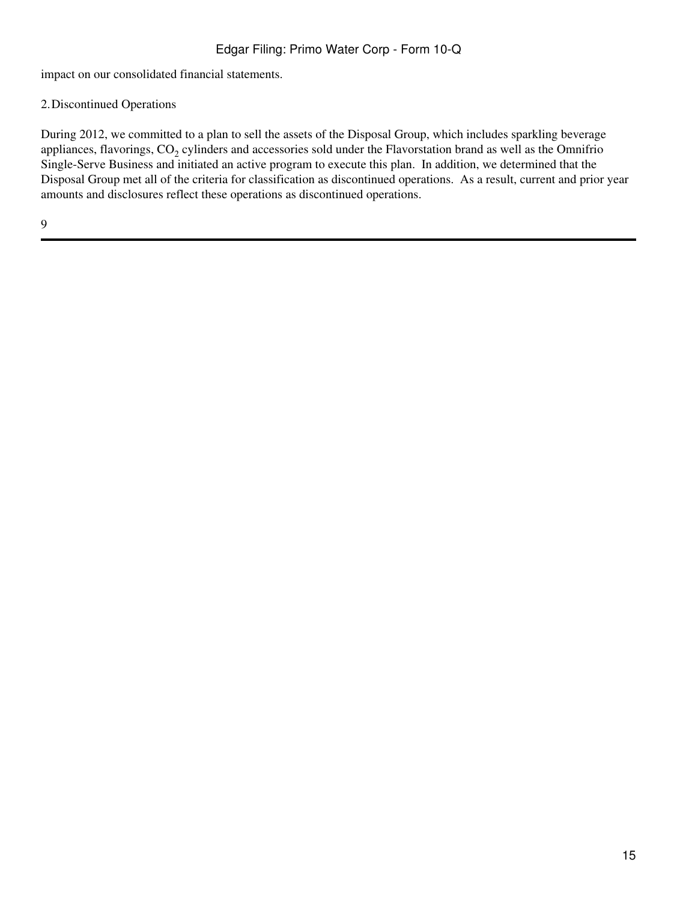impact on our consolidated financial statements.

# 2.Discontinued Operations

During 2012, we committed to a plan to sell the assets of the Disposal Group, which includes sparkling beverage appliances, flavorings,  $\mathrm{CO}_2$  cylinders and accessories sold under the Flavorstation brand as well as the Omnifrio Single-Serve Business and initiated an active program to execute this plan. In addition, we determined that the Disposal Group met all of the criteria for classification as discontinued operations. As a result, current and prior year amounts and disclosures reflect these operations as discontinued operations.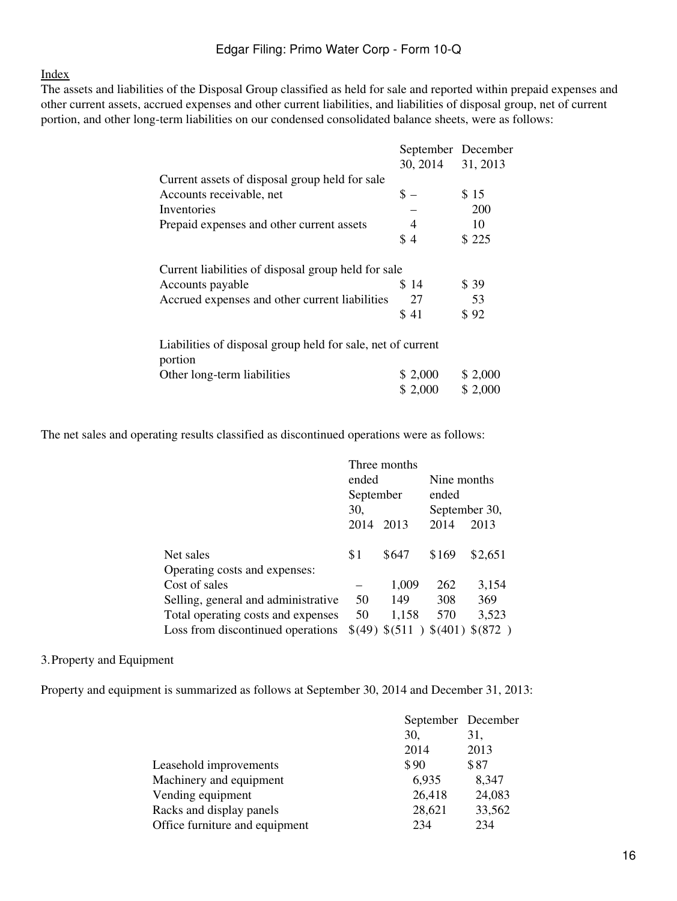#### [Index](#page-2-0)

The assets and liabilities of the Disposal Group classified as held for sale and reported within prepaid expenses and other current assets, accrued expenses and other current liabilities, and liabilities of disposal group, net of current portion, and other long-term liabilities on our condensed consolidated balance sheets, were as follows:

|                                                                        | September December   |          |
|------------------------------------------------------------------------|----------------------|----------|
|                                                                        | 30, 2014             | 31, 2013 |
| Current assets of disposal group held for sale                         |                      |          |
| Accounts receivable, net                                               | $\text{\$\sim$}$ $-$ | \$15     |
| Inventories                                                            |                      | 200      |
| Prepaid expenses and other current assets                              | -4                   | 10       |
|                                                                        | \$4                  | \$225    |
| Current liabilities of disposal group held for sale                    |                      |          |
| Accounts payable                                                       | \$14                 | \$39     |
| Accrued expenses and other current liabilities                         | 27                   | 53       |
|                                                                        | \$41                 | \$92     |
| Liabilities of disposal group held for sale, net of current<br>portion |                      |          |
| Other long-term liabilities                                            | \$2,000              | \$2,000  |
|                                                                        | \$2,000              | \$2,000  |

The net sales and operating results classified as discontinued operations were as follows:

|                                     |           | Three months   |               |         |  |
|-------------------------------------|-----------|----------------|---------------|---------|--|
|                                     | ended     |                | Nine months   |         |  |
|                                     | September |                | ended         |         |  |
|                                     | 30,       |                | September 30, |         |  |
|                                     | 2014      | 2013           | 2014          | 2013    |  |
| Net sales                           | \$1       | \$647          | \$169         | \$2,651 |  |
| Operating costs and expenses:       |           |                |               |         |  |
| Cost of sales                       |           | 1,009          | 262           | 3,154   |  |
| Selling, general and administrative | 50        | 149            | 308           | 369     |  |
| Total operating costs and expenses  | 50        | 1,158          | 570           | 3,523   |  |
| Loss from discontinued operations   |           | \$(49) \$(511) | \$(401)       | \$(872) |  |

## 3.Property and Equipment

Property and equipment is summarized as follows at September 30, 2014 and December 31, 2013:

|                                | September December |        |
|--------------------------------|--------------------|--------|
|                                | 30,                | 31,    |
|                                | 2014               | 2013   |
| Leasehold improvements         | \$90               | \$87   |
| Machinery and equipment        | 6,935              | 8,347  |
| Vending equipment              | 26,418             | 24,083 |
| Racks and display panels       | 28,621             | 33,562 |
| Office furniture and equipment | 234                | 234    |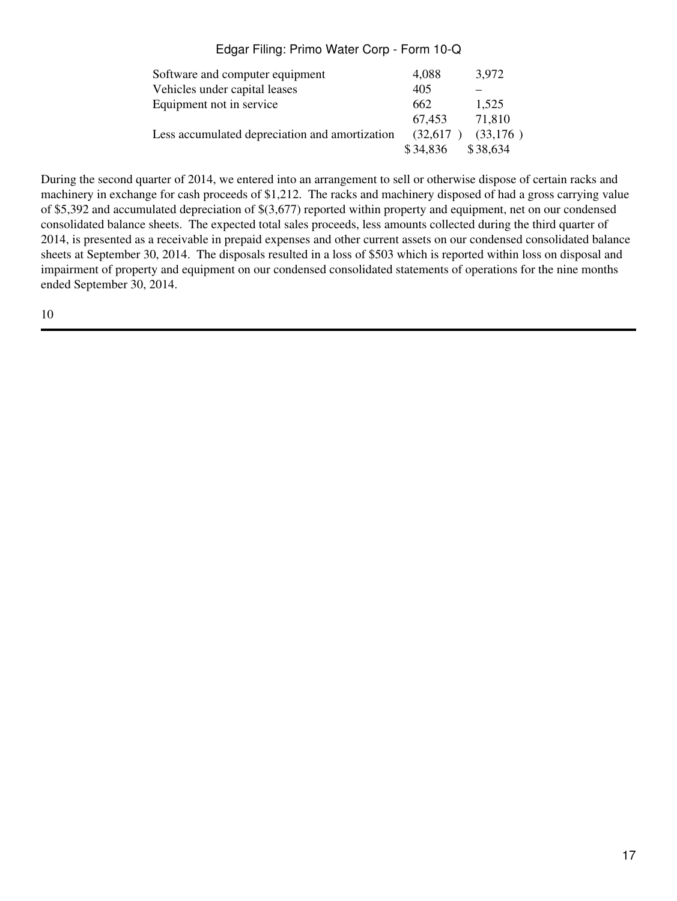| Software and computer equipment                | 4,088    | 3,972    |
|------------------------------------------------|----------|----------|
| Vehicles under capital leases                  | 405      |          |
| Equipment not in service                       | 662      | 1,525    |
|                                                | 67.453   | 71,810   |
| Less accumulated depreciation and amortization | (32,617) | (33,176) |
|                                                | \$34,836 | \$38,634 |

During the second quarter of 2014, we entered into an arrangement to sell or otherwise dispose of certain racks and machinery in exchange for cash proceeds of \$1,212. The racks and machinery disposed of had a gross carrying value of \$5,392 and accumulated depreciation of \$(3,677) reported within property and equipment, net on our condensed consolidated balance sheets. The expected total sales proceeds, less amounts collected during the third quarter of 2014, is presented as a receivable in prepaid expenses and other current assets on our condensed consolidated balance sheets at September 30, 2014. The disposals resulted in a loss of \$503 which is reported within loss on disposal and impairment of property and equipment on our condensed consolidated statements of operations for the nine months ended September 30, 2014.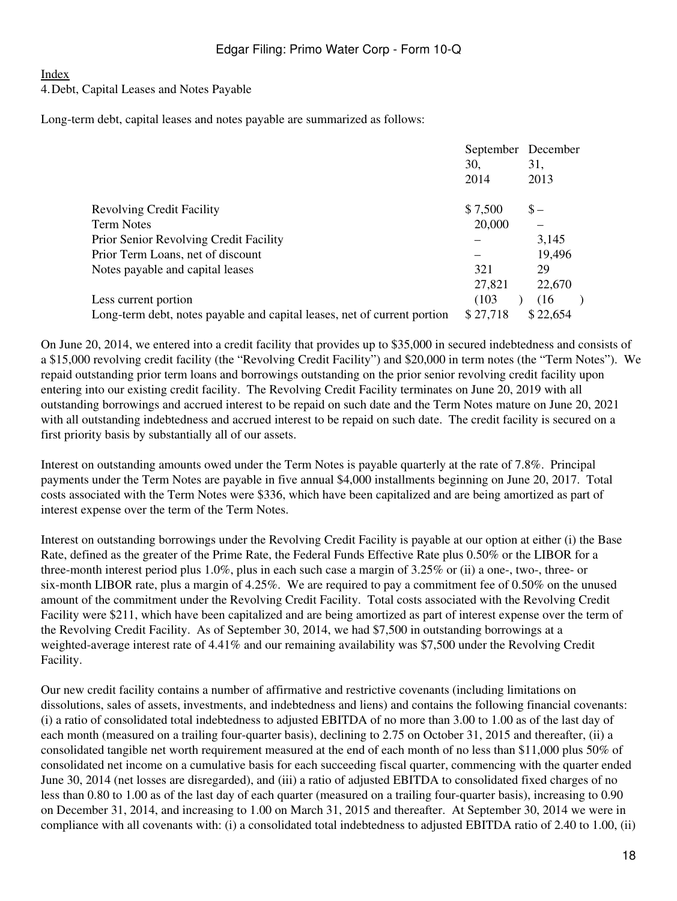#### [Index](#page-2-0)

#### 4.Debt, Capital Leases and Notes Payable

Long-term debt, capital leases and notes payable are summarized as follows:

|                                                                          |          | September December |
|--------------------------------------------------------------------------|----------|--------------------|
|                                                                          | 30,      | 31,                |
|                                                                          | 2014     | 2013               |
| <b>Revolving Credit Facility</b>                                         | \$7,500  | $S -$              |
| <b>Term Notes</b>                                                        | 20,000   |                    |
| Prior Senior Revolving Credit Facility                                   |          | 3,145              |
| Prior Term Loans, net of discount                                        |          | 19,496             |
| Notes payable and capital leases                                         | 321      | 29                 |
|                                                                          | 27,821   | 22,670             |
| Less current portion                                                     | (103)    | (16)               |
| Long-term debt, notes payable and capital leases, net of current portion | \$27,718 | \$22,654           |

On June 20, 2014, we entered into a credit facility that provides up to \$35,000 in secured indebtedness and consists of a \$15,000 revolving credit facility (the "Revolving Credit Facility") and \$20,000 in term notes (the "Term Notes"). We repaid outstanding prior term loans and borrowings outstanding on the prior senior revolving credit facility upon entering into our existing credit facility. The Revolving Credit Facility terminates on June 20, 2019 with all outstanding borrowings and accrued interest to be repaid on such date and the Term Notes mature on June 20, 2021 with all outstanding indebtedness and accrued interest to be repaid on such date. The credit facility is secured on a first priority basis by substantially all of our assets.

Interest on outstanding amounts owed under the Term Notes is payable quarterly at the rate of 7.8%. Principal payments under the Term Notes are payable in five annual \$4,000 installments beginning on June 20, 2017. Total costs associated with the Term Notes were \$336, which have been capitalized and are being amortized as part of interest expense over the term of the Term Notes.

Interest on outstanding borrowings under the Revolving Credit Facility is payable at our option at either (i) the Base Rate, defined as the greater of the Prime Rate, the Federal Funds Effective Rate plus 0.50% or the LIBOR for a three-month interest period plus 1.0%, plus in each such case a margin of 3.25% or (ii) a one-, two-, three- or six-month LIBOR rate, plus a margin of 4.25%. We are required to pay a commitment fee of 0.50% on the unused amount of the commitment under the Revolving Credit Facility. Total costs associated with the Revolving Credit Facility were \$211, which have been capitalized and are being amortized as part of interest expense over the term of the Revolving Credit Facility. As of September 30, 2014, we had \$7,500 in outstanding borrowings at a weighted-average interest rate of 4.41% and our remaining availability was \$7,500 under the Revolving Credit Facility.

Our new credit facility contains a number of affirmative and restrictive covenants (including limitations on dissolutions, sales of assets, investments, and indebtedness and liens) and contains the following financial covenants: (i) a ratio of consolidated total indebtedness to adjusted EBITDA of no more than 3.00 to 1.00 as of the last day of each month (measured on a trailing four-quarter basis), declining to 2.75 on October 31, 2015 and thereafter, (ii) a consolidated tangible net worth requirement measured at the end of each month of no less than \$11,000 plus 50% of consolidated net income on a cumulative basis for each succeeding fiscal quarter, commencing with the quarter ended June 30, 2014 (net losses are disregarded), and (iii) a ratio of adjusted EBITDA to consolidated fixed charges of no less than 0.80 to 1.00 as of the last day of each quarter (measured on a trailing four-quarter basis), increasing to 0.90 on December 31, 2014, and increasing to 1.00 on March 31, 2015 and thereafter. At September 30, 2014 we were in compliance with all covenants with: (i) a consolidated total indebtedness to adjusted EBITDA ratio of 2.40 to 1.00, (ii)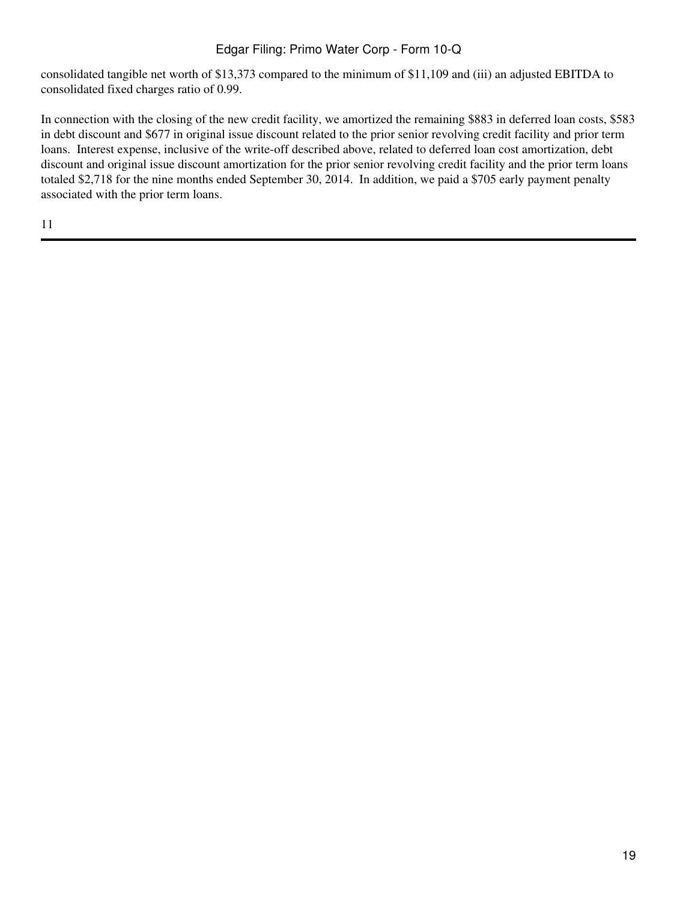consolidated tangible net worth of \$13,373 compared to the minimum of \$11,109 and (iii) an adjusted EBITDA to consolidated fixed charges ratio of 0.99.

In connection with the closing of the new credit facility, we amortized the remaining \$883 in deferred loan costs, \$583 in debt discount and \$677 in original issue discount related to the prior senior revolving credit facility and prior term loans. Interest expense, inclusive of the write-off described above, related to deferred loan cost amortization, debt discount and original issue discount amortization for the prior senior revolving credit facility and the prior term loans totaled \$2,718 for the nine months ended September 30, 2014. In addition, we paid a \$705 early payment penalty associated with the prior term loans.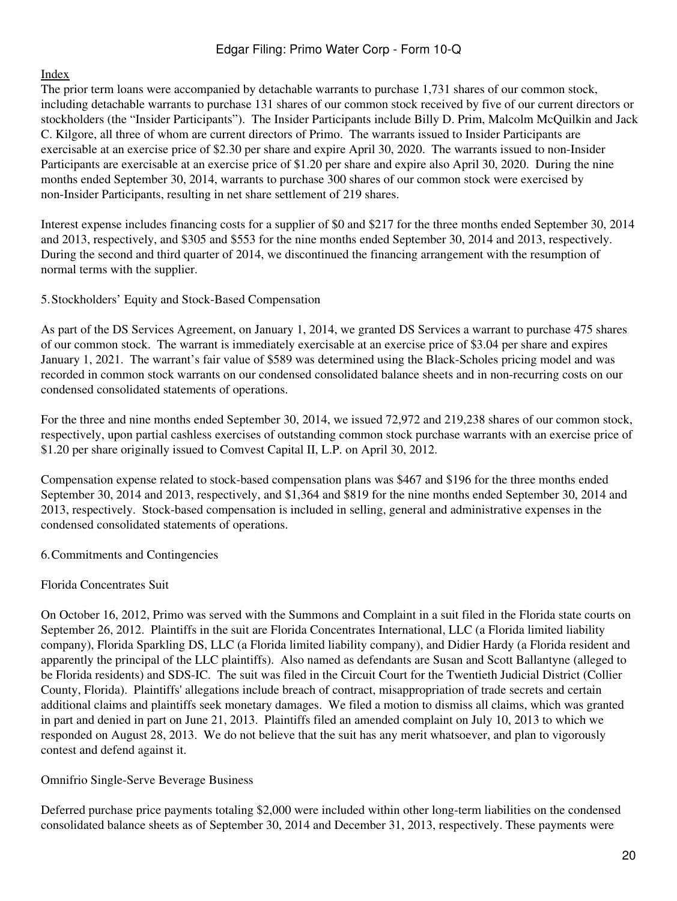## [Index](#page-2-0)

The prior term loans were accompanied by detachable warrants to purchase 1,731 shares of our common stock, including detachable warrants to purchase 131 shares of our common stock received by five of our current directors or stockholders (the "Insider Participants"). The Insider Participants include Billy D. Prim, Malcolm McQuilkin and Jack C. Kilgore, all three of whom are current directors of Primo. The warrants issued to Insider Participants are exercisable at an exercise price of \$2.30 per share and expire April 30, 2020. The warrants issued to non-Insider Participants are exercisable at an exercise price of \$1.20 per share and expire also April 30, 2020. During the nine months ended September 30, 2014, warrants to purchase 300 shares of our common stock were exercised by non-Insider Participants, resulting in net share settlement of 219 shares.

Interest expense includes financing costs for a supplier of \$0 and \$217 for the three months ended September 30, 2014 and 2013, respectively, and \$305 and \$553 for the nine months ended September 30, 2014 and 2013, respectively. During the second and third quarter of 2014, we discontinued the financing arrangement with the resumption of normal terms with the supplier.

5.Stockholders' Equity and Stock-Based Compensation

As part of the DS Services Agreement, on January 1, 2014, we granted DS Services a warrant to purchase 475 shares of our common stock. The warrant is immediately exercisable at an exercise price of \$3.04 per share and expires January 1, 2021. The warrant's fair value of \$589 was determined using the Black-Scholes pricing model and was recorded in common stock warrants on our condensed consolidated balance sheets and in non-recurring costs on our condensed consolidated statements of operations.

For the three and nine months ended September 30, 2014, we issued 72,972 and 219,238 shares of our common stock, respectively, upon partial cashless exercises of outstanding common stock purchase warrants with an exercise price of \$1.20 per share originally issued to Comvest Capital II, L.P. on April 30, 2012.

Compensation expense related to stock-based compensation plans was \$467 and \$196 for the three months ended September 30, 2014 and 2013, respectively, and \$1,364 and \$819 for the nine months ended September 30, 2014 and 2013, respectively. Stock-based compensation is included in selling, general and administrative expenses in the condensed consolidated statements of operations.

6.Commitments and Contingencies

## Florida Concentrates Suit

On October 16, 2012, Primo was served with the Summons and Complaint in a suit filed in the Florida state courts on September 26, 2012. Plaintiffs in the suit are Florida Concentrates International, LLC (a Florida limited liability company), Florida Sparkling DS, LLC (a Florida limited liability company), and Didier Hardy (a Florida resident and apparently the principal of the LLC plaintiffs). Also named as defendants are Susan and Scott Ballantyne (alleged to be Florida residents) and SDS-IC. The suit was filed in the Circuit Court for the Twentieth Judicial District (Collier County, Florida). Plaintiffs' allegations include breach of contract, misappropriation of trade secrets and certain additional claims and plaintiffs seek monetary damages. We filed a motion to dismiss all claims, which was granted in part and denied in part on June 21, 2013. Plaintiffs filed an amended complaint on July 10, 2013 to which we responded on August 28, 2013. We do not believe that the suit has any merit whatsoever, and plan to vigorously contest and defend against it.

Omnifrio Single-Serve Beverage Business

Deferred purchase price payments totaling \$2,000 were included within other long-term liabilities on the condensed consolidated balance sheets as of September 30, 2014 and December 31, 2013, respectively. These payments were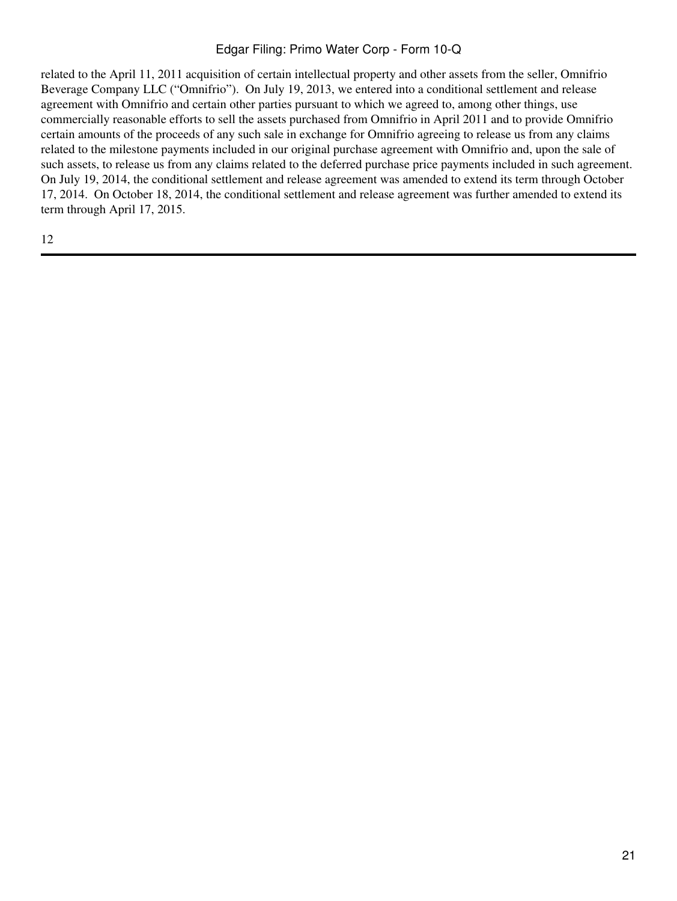related to the April 11, 2011 acquisition of certain intellectual property and other assets from the seller, Omnifrio Beverage Company LLC ("Omnifrio"). On July 19, 2013, we entered into a conditional settlement and release agreement with Omnifrio and certain other parties pursuant to which we agreed to, among other things, use commercially reasonable efforts to sell the assets purchased from Omnifrio in April 2011 and to provide Omnifrio certain amounts of the proceeds of any such sale in exchange for Omnifrio agreeing to release us from any claims related to the milestone payments included in our original purchase agreement with Omnifrio and, upon the sale of such assets, to release us from any claims related to the deferred purchase price payments included in such agreement. On July 19, 2014, the conditional settlement and release agreement was amended to extend its term through October 17, 2014. On October 18, 2014, the conditional settlement and release agreement was further amended to extend its term through April 17, 2015.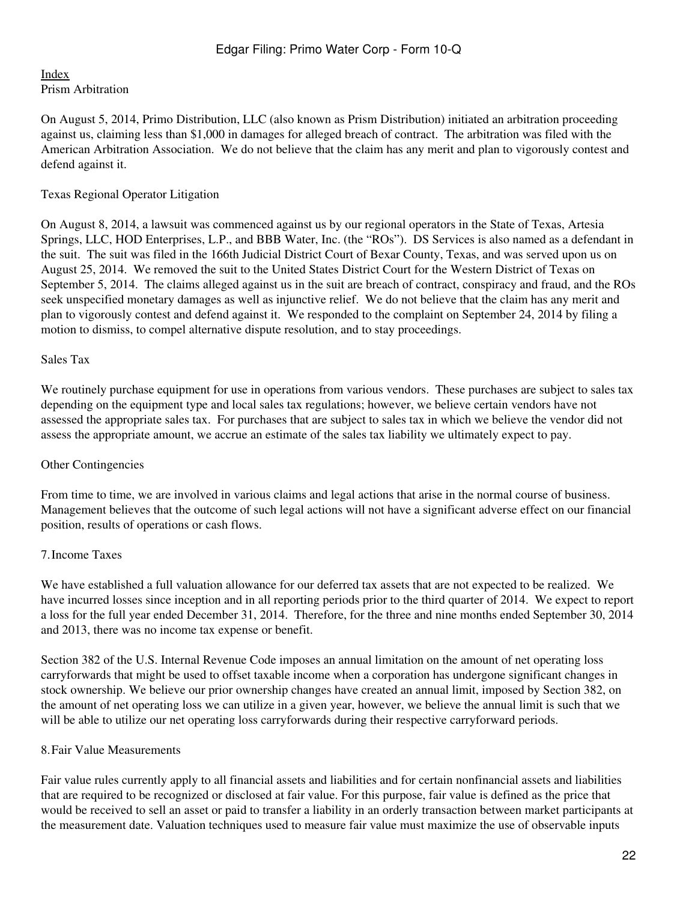## [Index](#page-2-0) Prism Arbitration

On August 5, 2014, Primo Distribution, LLC (also known as Prism Distribution) initiated an arbitration proceeding against us, claiming less than \$1,000 in damages for alleged breach of contract. The arbitration was filed with the American Arbitration Association. We do not believe that the claim has any merit and plan to vigorously contest and defend against it.

## Texas Regional Operator Litigation

On August 8, 2014, a lawsuit was commenced against us by our regional operators in the State of Texas, Artesia Springs, LLC, HOD Enterprises, L.P., and BBB Water, Inc. (the "ROs"). DS Services is also named as a defendant in the suit. The suit was filed in the 166th Judicial District Court of Bexar County, Texas, and was served upon us on August 25, 2014. We removed the suit to the United States District Court for the Western District of Texas on September 5, 2014. The claims alleged against us in the suit are breach of contract, conspiracy and fraud, and the ROs seek unspecified monetary damages as well as injunctive relief. We do not believe that the claim has any merit and plan to vigorously contest and defend against it. We responded to the complaint on September 24, 2014 by filing a motion to dismiss, to compel alternative dispute resolution, and to stay proceedings.

## Sales Tax

We routinely purchase equipment for use in operations from various vendors. These purchases are subject to sales tax depending on the equipment type and local sales tax regulations; however, we believe certain vendors have not assessed the appropriate sales tax. For purchases that are subject to sales tax in which we believe the vendor did not assess the appropriate amount, we accrue an estimate of the sales tax liability we ultimately expect to pay.

## Other Contingencies

From time to time, we are involved in various claims and legal actions that arise in the normal course of business. Management believes that the outcome of such legal actions will not have a significant adverse effect on our financial position, results of operations or cash flows.

## 7.Income Taxes

We have established a full valuation allowance for our deferred tax assets that are not expected to be realized. We have incurred losses since inception and in all reporting periods prior to the third quarter of 2014. We expect to report a loss for the full year ended December 31, 2014. Therefore, for the three and nine months ended September 30, 2014 and 2013, there was no income tax expense or benefit.

Section 382 of the U.S. Internal Revenue Code imposes an annual limitation on the amount of net operating loss carryforwards that might be used to offset taxable income when a corporation has undergone significant changes in stock ownership. We believe our prior ownership changes have created an annual limit, imposed by Section 382, on the amount of net operating loss we can utilize in a given year, however, we believe the annual limit is such that we will be able to utilize our net operating loss carryforwards during their respective carryforward periods.

## 8.Fair Value Measurements

Fair value rules currently apply to all financial assets and liabilities and for certain nonfinancial assets and liabilities that are required to be recognized or disclosed at fair value. For this purpose, fair value is defined as the price that would be received to sell an asset or paid to transfer a liability in an orderly transaction between market participants at the measurement date. Valuation techniques used to measure fair value must maximize the use of observable inputs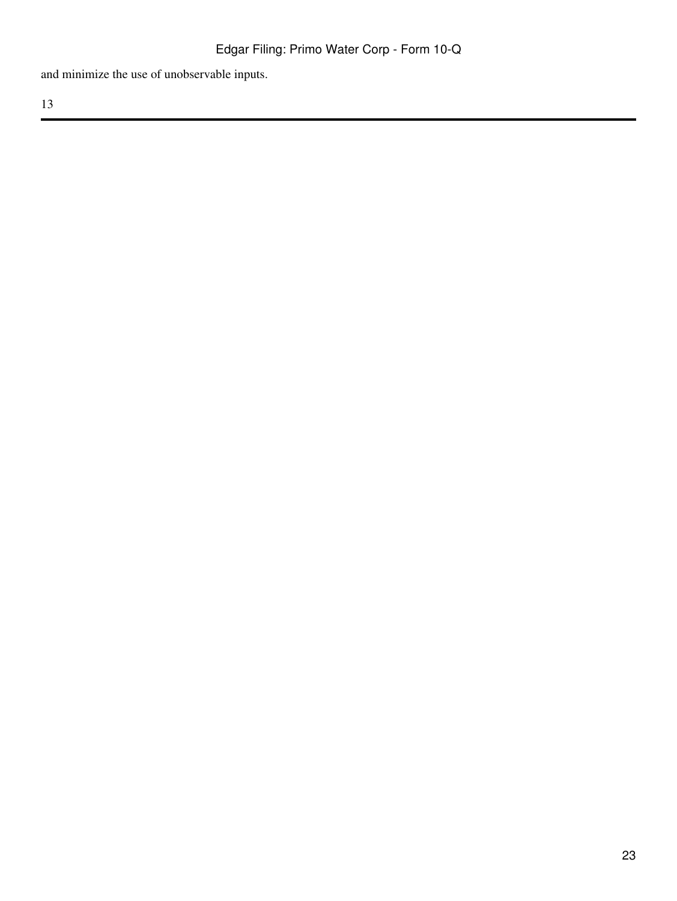and minimize the use of unobservable inputs.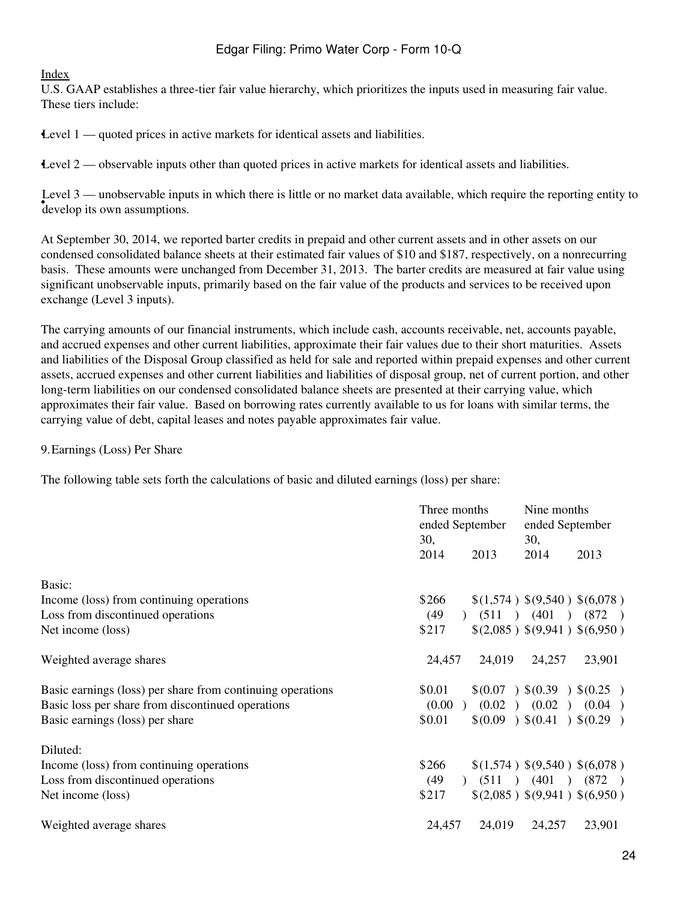#### [Index](#page-2-0)

U.S. GAAP establishes a three-tier fair value hierarchy, which prioritizes the inputs used in measuring fair value. These tiers include:

•Level 1 — quoted prices in active markets for identical assets and liabilities.

•Level 2 — observable inputs other than quoted prices in active markets for identical assets and liabilities.

 $\frac{1}{2}$  develop its own assumptions. Level 3 — unobservable inputs in which there is little or no market data available, which require the reporting entity to

At September 30, 2014, we reported barter credits in prepaid and other current assets and in other assets on our condensed consolidated balance sheets at their estimated fair values of \$10 and \$187, respectively, on a nonrecurring basis. These amounts were unchanged from December 31, 2013. The barter credits are measured at fair value using significant unobservable inputs, primarily based on the fair value of the products and services to be received upon exchange (Level 3 inputs).

The carrying amounts of our financial instruments, which include cash, accounts receivable, net, accounts payable, and accrued expenses and other current liabilities, approximate their fair values due to their short maturities. Assets and liabilities of the Disposal Group classified as held for sale and reported within prepaid expenses and other current assets, accrued expenses and other current liabilities and liabilities of disposal group, net of current portion, and other long-term liabilities on our condensed consolidated balance sheets are presented at their carrying value, which approximates their fair value. Based on borrowing rates currently available to us for loans with similar terms, the carrying value of debt, capital leases and notes payable approximates fair value.

#### 9.Earnings (Loss) Per Share

The following table sets forth the calculations of basic and diluted earnings (loss) per share:

|                                                            | Three months<br>ended September<br>30, | Nine months<br>ended September<br>30, |  |
|------------------------------------------------------------|----------------------------------------|---------------------------------------|--|
|                                                            | 2014<br>2013                           | 2014<br>2013                          |  |
| Basic:                                                     |                                        |                                       |  |
| Income (loss) from continuing operations                   | \$266                                  | \$(1,574) \$(9,540) \$(6,078)         |  |
| Loss from discontinued operations                          | (49)<br>$\Gamma$                       | $(511)$ $(401)$ $(872)$               |  |
| Net income (loss)                                          | \$217                                  | \$(2,085) \$(9,941) \$(6,950)         |  |
| Weighted average shares                                    | 24,019<br>24,457                       | 23,901<br>24,257                      |  |
| Basic earnings (loss) per share from continuing operations | \$0.01                                 | \$(0.07) \$(0.39) \$(0.25)            |  |
| Basic loss per share from discontinued operations          |                                        | $(0.00)$ $(0.02)$ $(0.02)$ $(0.04)$   |  |
| Basic earnings (loss) per share                            | \$0.01                                 | \$(0.09) \$(0.41) \$(0.29)            |  |
| Diluted:                                                   |                                        |                                       |  |
| Income (loss) from continuing operations                   | \$266                                  | \$(1,574) \$(9,540) \$(6,078)         |  |
| Loss from discontinued operations                          | (49)<br>$\mathcal{L}$                  | (511) (401)<br>(872)                  |  |
| Net income (loss)                                          | \$217                                  | \$(2,085) \$(9,941) \$(6,950)         |  |
| Weighted average shares                                    | 24,457<br>24,019                       | 24,257<br>23,901                      |  |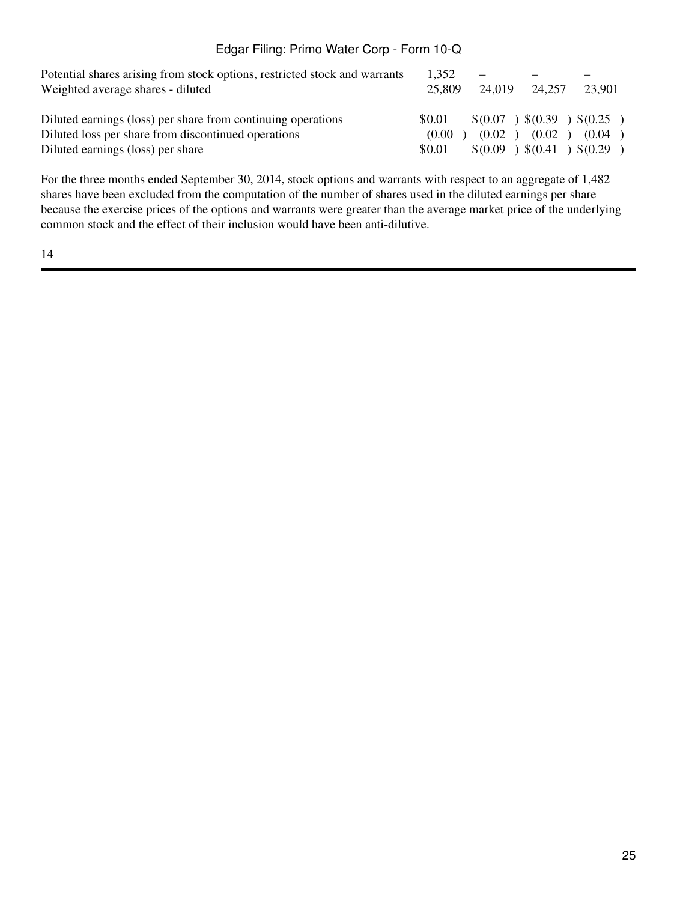| Potential shares arising from stock options, restricted stock and warrants | 1.352  |        |        |                              |
|----------------------------------------------------------------------------|--------|--------|--------|------------------------------|
| Weighted average shares - diluted                                          | 25,809 | 24.019 | 24.257 | 23,901                       |
| Diluted earnings (loss) per share from continuing operations               | \$0.01 |        |        | $\$(0.07) \$(0.39) \$(0.25)$ |
| Diluted loss per share from discontinued operations                        | (0.00) | (0.02) | (0.02) | (0.04)                       |
| Diluted earnings (loss) per share                                          | \$0.01 |        |        | \$(0.09) \$(0.41) \$(0.29)   |

For the three months ended September 30, 2014, stock options and warrants with respect to an aggregate of 1,482 shares have been excluded from the computation of the number of shares used in the diluted earnings per share because the exercise prices of the options and warrants were greater than the average market price of the underlying common stock and the effect of their inclusion would have been anti-dilutive.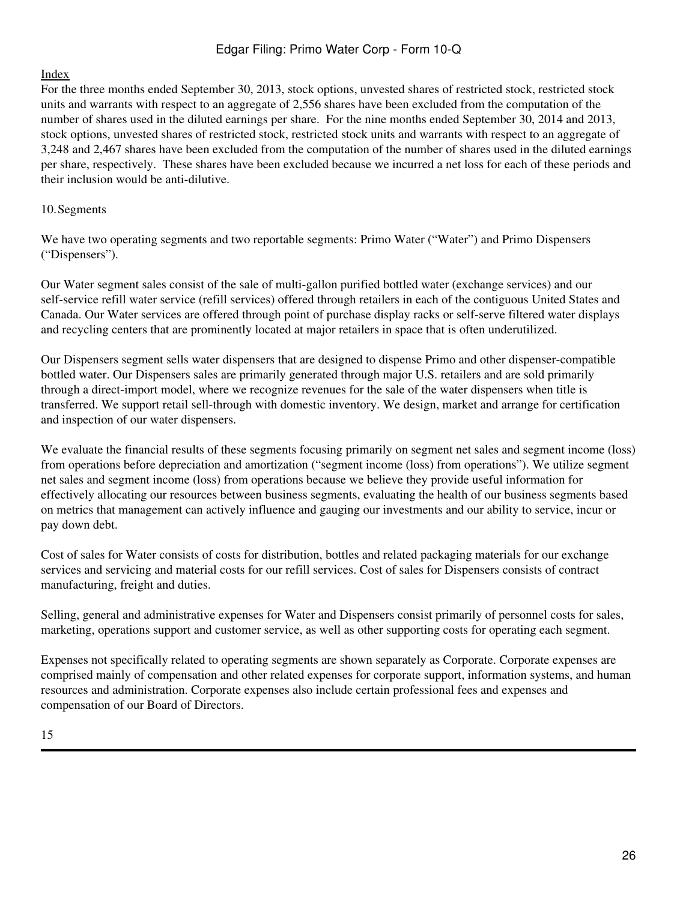## [Index](#page-2-0)

For the three months ended September 30, 2013, stock options, unvested shares of restricted stock, restricted stock units and warrants with respect to an aggregate of 2,556 shares have been excluded from the computation of the number of shares used in the diluted earnings per share. For the nine months ended September 30, 2014 and 2013, stock options, unvested shares of restricted stock, restricted stock units and warrants with respect to an aggregate of 3,248 and 2,467 shares have been excluded from the computation of the number of shares used in the diluted earnings per share, respectively. These shares have been excluded because we incurred a net loss for each of these periods and their inclusion would be anti-dilutive.

#### 10.Segments

We have two operating segments and two reportable segments: Primo Water ("Water") and Primo Dispensers ("Dispensers").

Our Water segment sales consist of the sale of multi-gallon purified bottled water (exchange services) and our self-service refill water service (refill services) offered through retailers in each of the contiguous United States and Canada. Our Water services are offered through point of purchase display racks or self-serve filtered water displays and recycling centers that are prominently located at major retailers in space that is often underutilized.

Our Dispensers segment sells water dispensers that are designed to dispense Primo and other dispenser-compatible bottled water. Our Dispensers sales are primarily generated through major U.S. retailers and are sold primarily through a direct-import model, where we recognize revenues for the sale of the water dispensers when title is transferred. We support retail sell-through with domestic inventory. We design, market and arrange for certification and inspection of our water dispensers.

We evaluate the financial results of these segments focusing primarily on segment net sales and segment income (loss) from operations before depreciation and amortization ("segment income (loss) from operations"). We utilize segment net sales and segment income (loss) from operations because we believe they provide useful information for effectively allocating our resources between business segments, evaluating the health of our business segments based on metrics that management can actively influence and gauging our investments and our ability to service, incur or pay down debt.

Cost of sales for Water consists of costs for distribution, bottles and related packaging materials for our exchange services and servicing and material costs for our refill services. Cost of sales for Dispensers consists of contract manufacturing, freight and duties.

Selling, general and administrative expenses for Water and Dispensers consist primarily of personnel costs for sales, marketing, operations support and customer service, as well as other supporting costs for operating each segment.

Expenses not specifically related to operating segments are shown separately as Corporate. Corporate expenses are comprised mainly of compensation and other related expenses for corporate support, information systems, and human resources and administration. Corporate expenses also include certain professional fees and expenses and compensation of our Board of Directors.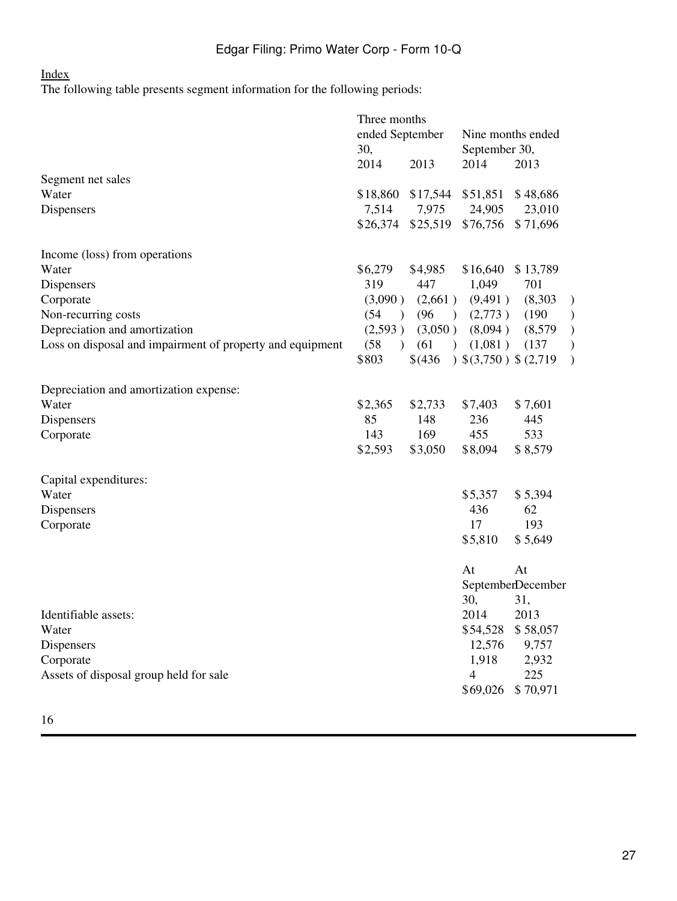#### [Index](#page-2-0)

The following table presents segment information for the following periods:

|                                                           | Three months          |                            |                        |                    |               |
|-----------------------------------------------------------|-----------------------|----------------------------|------------------------|--------------------|---------------|
|                                                           | ended September       |                            | Nine months ended      |                    |               |
|                                                           | 30,                   |                            | September 30,          |                    |               |
|                                                           | 2014                  | 2013                       | 2014                   | 2013               |               |
| Segment net sales<br>Water                                |                       |                            |                        |                    |               |
|                                                           | \$18,860<br>7,514     | \$17,544 \$51,851<br>7,975 | 24,905                 | \$48,686<br>23,010 |               |
| Dispensers                                                | \$26,374              | \$25,519                   | \$76,756               | \$71,696           |               |
|                                                           |                       |                            |                        |                    |               |
| Income (loss) from operations                             |                       |                            |                        |                    |               |
| Water                                                     | \$6,279               | \$4,985                    | \$16,640               | \$13,789           |               |
| Dispensers                                                | 319                   | 447                        | 1,049                  | 701                |               |
| Corporate                                                 | (3,090)               | (2,661)                    | (9,491)                | (8,303)            | $\mathcal{E}$ |
| Non-recurring costs                                       | (54)<br>$\rightarrow$ | (96)<br>$\rightarrow$      | (2,773)                | (190)              | )             |
| Depreciation and amortization                             | (2,593)               | (3,050)                    | (8,094)                | (8,579)            | )             |
| Loss on disposal and impairment of property and equipment | (58)<br>$\mathcal{L}$ | (61)<br>$\mathcal{L}$      | (1,081)                | (137)              | )             |
|                                                           | \$803                 | \$ (436)                   | $(3,750)$ \$ $(2,719)$ |                    | $\mathcal{E}$ |
| Depreciation and amortization expense:                    |                       |                            |                        |                    |               |
| Water                                                     | \$2,365               | \$2,733                    | \$7,403                | \$7,601            |               |
| Dispensers                                                | 85                    | 148                        | 236                    | 445                |               |
| Corporate                                                 | 143                   | 169                        | 455                    | 533                |               |
|                                                           | \$2,593               | \$3,050                    | \$8,094                | \$8,579            |               |
|                                                           |                       |                            |                        |                    |               |
| Capital expenditures:<br>Water                            |                       |                            | \$5,357                | \$5,394            |               |
| Dispensers                                                |                       |                            | 436                    | 62                 |               |
| Corporate                                                 |                       |                            | 17                     | 193                |               |
|                                                           |                       |                            | \$5,810                | \$5,649            |               |
|                                                           |                       |                            |                        |                    |               |
|                                                           |                       |                            | At                     | At                 |               |
|                                                           |                       |                            |                        | SeptemberDecember  |               |
|                                                           |                       |                            | 30,                    | 31,                |               |
| Identifiable assets:                                      |                       |                            | 2014                   | 2013               |               |
| Water                                                     |                       |                            | \$54,528               | \$58,057           |               |
| Dispensers                                                |                       |                            | 12,576                 | 9,757              |               |
| Corporate                                                 |                       |                            | 1,918                  | 2,932              |               |
| Assets of disposal group held for sale                    |                       |                            | $\overline{4}$         | 225                |               |
|                                                           |                       |                            | \$69,026               | \$70,971           |               |
|                                                           |                       |                            |                        |                    |               |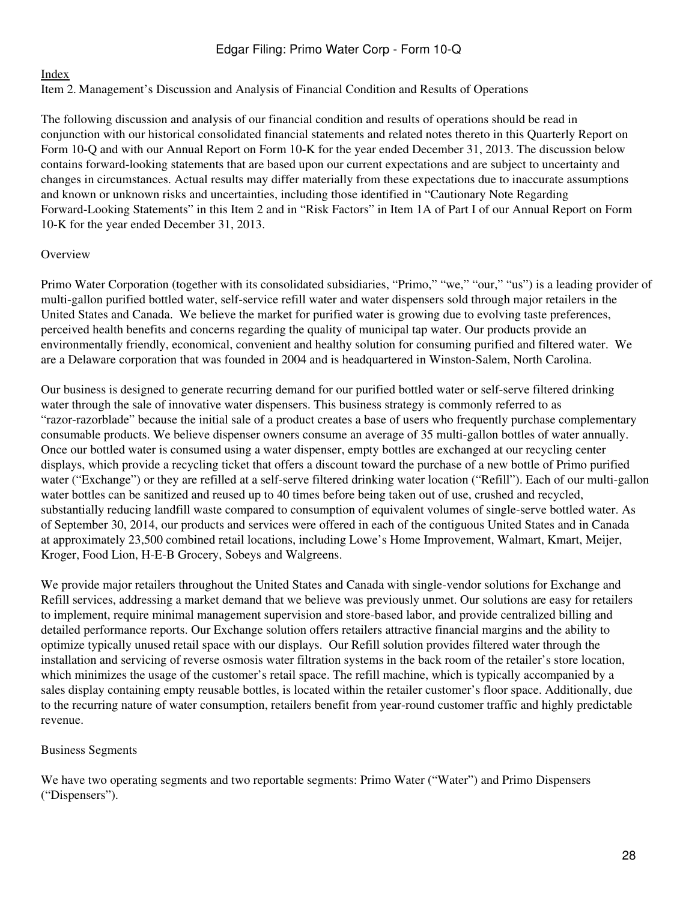## [Index](#page-2-0)

<span id="page-27-0"></span>Item 2. Management's Discussion and Analysis of Financial Condition and Results of Operations

The following discussion and analysis of our financial condition and results of operations should be read in conjunction with our historical consolidated financial statements and related notes thereto in this Quarterly Report on Form 10-Q and with our Annual Report on Form 10-K for the year ended December 31, 2013. The discussion below contains forward-looking statements that are based upon our current expectations and are subject to uncertainty and changes in circumstances. Actual results may differ materially from these expectations due to inaccurate assumptions and known or unknown risks and uncertainties, including those identified in "Cautionary Note Regarding Forward-Looking Statements" in this Item 2 and in "Risk Factors" in Item 1A of Part I of our Annual Report on Form 10-K for the year ended December 31, 2013.

## **Overview**

Primo Water Corporation (together with its consolidated subsidiaries, "Primo," "we," "our," "us") is a leading provider of multi-gallon purified bottled water, self-service refill water and water dispensers sold through major retailers in the United States and Canada. We believe the market for purified water is growing due to evolving taste preferences, perceived health benefits and concerns regarding the quality of municipal tap water. Our products provide an environmentally friendly, economical, convenient and healthy solution for consuming purified and filtered water. We are a Delaware corporation that was founded in 2004 and is headquartered in Winston-Salem, North Carolina.

Our business is designed to generate recurring demand for our purified bottled water or self-serve filtered drinking water through the sale of innovative water dispensers. This business strategy is commonly referred to as "razor-razorblade" because the initial sale of a product creates a base of users who frequently purchase complementary consumable products. We believe dispenser owners consume an average of 35 multi-gallon bottles of water annually. Once our bottled water is consumed using a water dispenser, empty bottles are exchanged at our recycling center displays, which provide a recycling ticket that offers a discount toward the purchase of a new bottle of Primo purified water ("Exchange") or they are refilled at a self-serve filtered drinking water location ("Refill"). Each of our multi-gallon water bottles can be sanitized and reused up to 40 times before being taken out of use, crushed and recycled, substantially reducing landfill waste compared to consumption of equivalent volumes of single-serve bottled water. As of September 30, 2014, our products and services were offered in each of the contiguous United States and in Canada at approximately 23,500 combined retail locations, including Lowe's Home Improvement, Walmart, Kmart, Meijer, Kroger, Food Lion, H-E-B Grocery, Sobeys and Walgreens.

We provide major retailers throughout the United States and Canada with single-vendor solutions for Exchange and Refill services, addressing a market demand that we believe was previously unmet. Our solutions are easy for retailers to implement, require minimal management supervision and store-based labor, and provide centralized billing and detailed performance reports. Our Exchange solution offers retailers attractive financial margins and the ability to optimize typically unused retail space with our displays. Our Refill solution provides filtered water through the installation and servicing of reverse osmosis water filtration systems in the back room of the retailer's store location, which minimizes the usage of the customer's retail space. The refill machine, which is typically accompanied by a sales display containing empty reusable bottles, is located within the retailer customer's floor space. Additionally, due to the recurring nature of water consumption, retailers benefit from year-round customer traffic and highly predictable revenue.

#### Business Segments

We have two operating segments and two reportable segments: Primo Water ("Water") and Primo Dispensers ("Dispensers").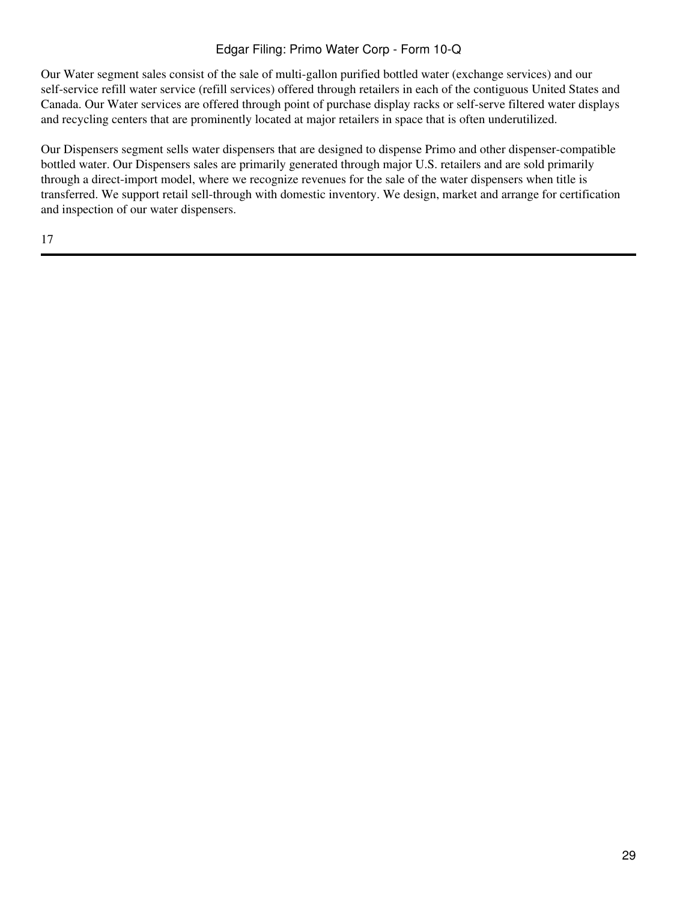Our Water segment sales consist of the sale of multi-gallon purified bottled water (exchange services) and our self-service refill water service (refill services) offered through retailers in each of the contiguous United States and Canada. Our Water services are offered through point of purchase display racks or self-serve filtered water displays and recycling centers that are prominently located at major retailers in space that is often underutilized.

Our Dispensers segment sells water dispensers that are designed to dispense Primo and other dispenser-compatible bottled water. Our Dispensers sales are primarily generated through major U.S. retailers and are sold primarily through a direct-import model, where we recognize revenues for the sale of the water dispensers when title is transferred. We support retail sell-through with domestic inventory. We design, market and arrange for certification and inspection of our water dispensers.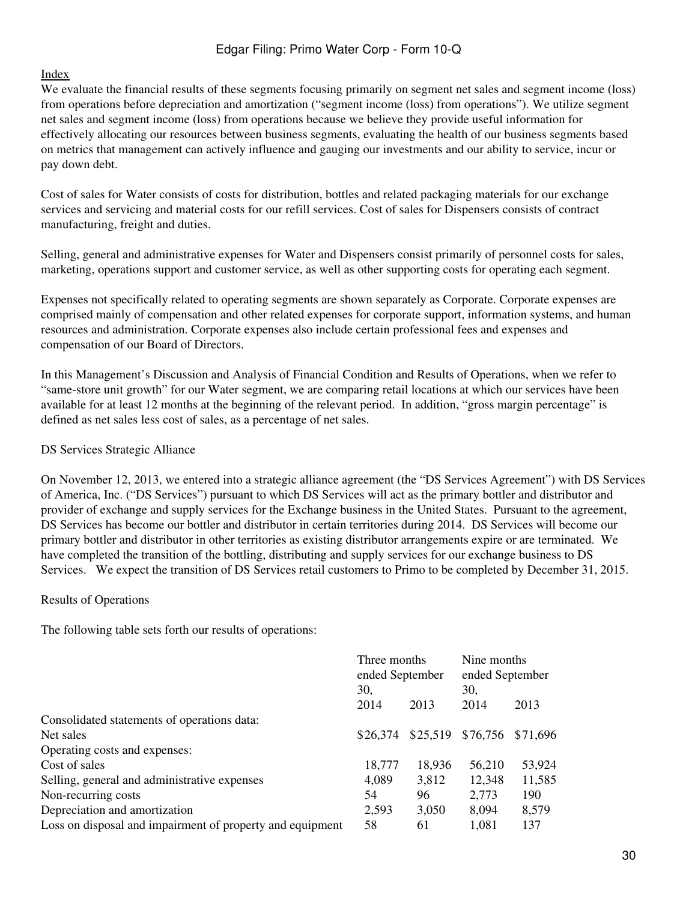#### [Index](#page-2-0)

We evaluate the financial results of these segments focusing primarily on segment net sales and segment income (loss) from operations before depreciation and amortization ("segment income (loss) from operations"). We utilize segment net sales and segment income (loss) from operations because we believe they provide useful information for effectively allocating our resources between business segments, evaluating the health of our business segments based on metrics that management can actively influence and gauging our investments and our ability to service, incur or pay down debt.

Cost of sales for Water consists of costs for distribution, bottles and related packaging materials for our exchange services and servicing and material costs for our refill services. Cost of sales for Dispensers consists of contract manufacturing, freight and duties.

Selling, general and administrative expenses for Water and Dispensers consist primarily of personnel costs for sales, marketing, operations support and customer service, as well as other supporting costs for operating each segment.

Expenses not specifically related to operating segments are shown separately as Corporate. Corporate expenses are comprised mainly of compensation and other related expenses for corporate support, information systems, and human resources and administration. Corporate expenses also include certain professional fees and expenses and compensation of our Board of Directors.

In this Management's Discussion and Analysis of Financial Condition and Results of Operations, when we refer to "same-store unit growth" for our Water segment, we are comparing retail locations at which our services have been available for at least 12 months at the beginning of the relevant period. In addition, "gross margin percentage" is defined as net sales less cost of sales, as a percentage of net sales.

#### DS Services Strategic Alliance

On November 12, 2013, we entered into a strategic alliance agreement (the "DS Services Agreement") with DS Services of America, Inc. ("DS Services") pursuant to which DS Services will act as the primary bottler and distributor and provider of exchange and supply services for the Exchange business in the United States. Pursuant to the agreement, DS Services has become our bottler and distributor in certain territories during 2014. DS Services will become our primary bottler and distributor in other territories as existing distributor arrangements expire or are terminated. We have completed the transition of the bottling, distributing and supply services for our exchange business to DS Services. We expect the transition of DS Services retail customers to Primo to be completed by December 31, 2015.

#### Results of Operations

The following table sets forth our results of operations:

| Three months<br>ended September<br>30, |          | Nine months<br>ended September<br>30, |          |      |      |      |      |
|----------------------------------------|----------|---------------------------------------|----------|------|------|------|------|
|                                        |          |                                       |          | 2014 | 2013 | 2014 | 2013 |
|                                        |          |                                       |          |      |      |      |      |
| \$26,374                               | \$25,519 | \$76,756                              | \$71,696 |      |      |      |      |
|                                        |          |                                       |          |      |      |      |      |
| 18,777                                 | 18,936   | 56,210                                | 53,924   |      |      |      |      |
| 4,089                                  | 3,812    | 12,348                                | 11,585   |      |      |      |      |
| 54                                     | 96       | 2,773                                 | 190      |      |      |      |      |
| 2,593                                  | 3,050    | 8,094                                 | 8,579    |      |      |      |      |
| 58                                     | 61       | 1,081                                 | 137      |      |      |      |      |
|                                        |          |                                       |          |      |      |      |      |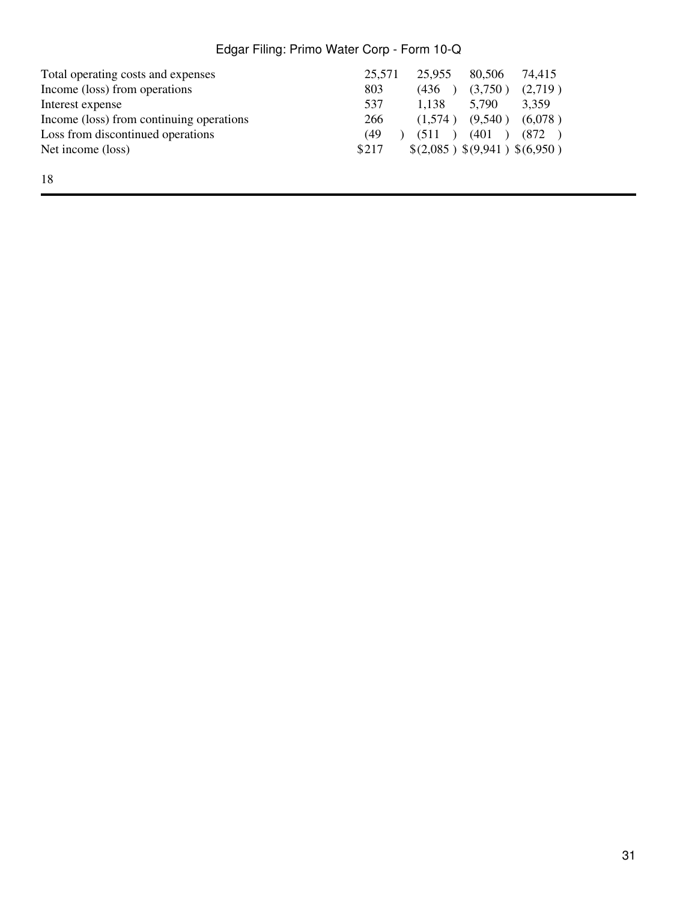|       | 25,955  | 80.506  | 74.415                        |
|-------|---------|---------|-------------------------------|
| 803   | (436)   | (3,750) | (2,719)                       |
| 537   | 1.138   | 5.790   | 3.359                         |
| 266   | (1.574) | (9,540) | (6,078)                       |
| (49)  | (511)   | (401)   | (872)                         |
| \$217 |         |         |                               |
|       |         | 25.571  | \$(2,085) \$(9,941) \$(6,950) |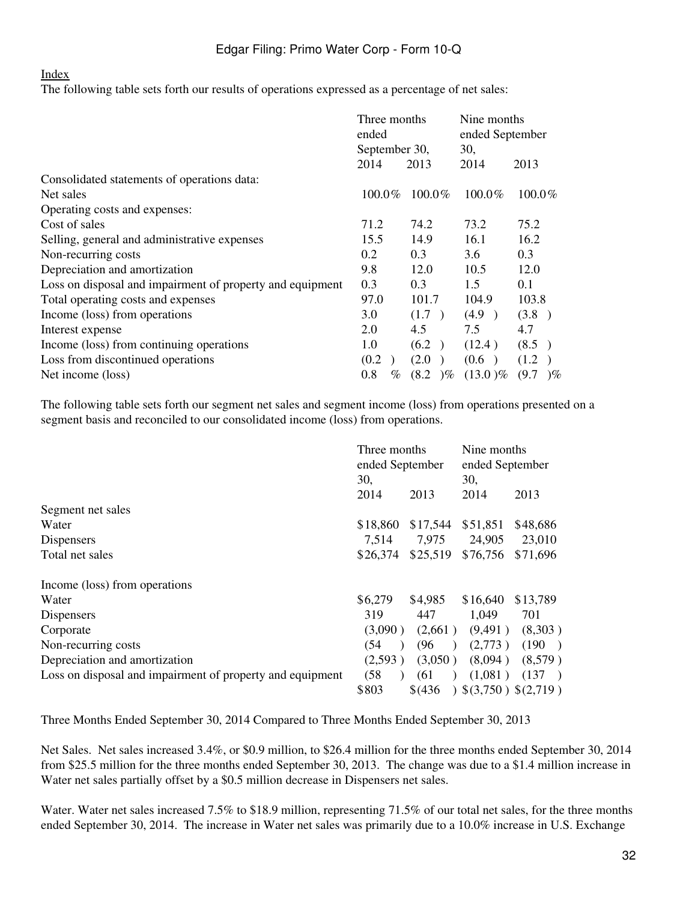#### [Index](#page-2-0)

The following table sets forth our results of operations expressed as a percentage of net sales:

|                                                           | Three months<br>ended |                     | Nine months<br>ended September |                   |
|-----------------------------------------------------------|-----------------------|---------------------|--------------------------------|-------------------|
|                                                           | September 30,         |                     | 30,                            |                   |
|                                                           | 2014                  | 2013                | 2014                           | 2013              |
| Consolidated statements of operations data:               |                       |                     |                                |                   |
| Net sales                                                 | $100.0\%$             | $100.0\%$           | $100.0\%$                      | $100.0\%$         |
| Operating costs and expenses:                             |                       |                     |                                |                   |
| Cost of sales                                             | 71.2                  | 74.2                | 73.2                           | 75.2              |
| Selling, general and administrative expenses              | 15.5                  | 14.9                | 16.1                           | 16.2              |
| Non-recurring costs                                       | 0.2                   | 0.3                 | 3.6                            | 0.3               |
| Depreciation and amortization                             | 9.8                   | 12.0                | 10.5                           | 12.0              |
| Loss on disposal and impairment of property and equipment | 0.3                   | 0.3                 | 1.5                            | 0.1               |
| Total operating costs and expenses                        | 97.0                  | 101.7               | 104.9                          | 103.8             |
| Income (loss) from operations                             | 3.0                   | (1.7)               | (4.9)                          | (3.8)             |
| Interest expense                                          | 2.0                   | 4.5                 | 7.5                            | 4.7               |
| Income (loss) from continuing operations                  | 1.0                   | (6.2)               | (12.4)                         | (8.5)             |
| Loss from discontinued operations                         | (0.2)                 | (2.0)               | (0.6)                          | (1.2)             |
| Net income (loss)                                         | 0.8<br>$\%$           | (8.2)<br>$\gamma$ % | $(13.0)\%$                     | (9.7)<br>$\gamma$ |

The following table sets forth our segment net sales and segment income (loss) from operations presented on a segment basis and reconciled to our consolidated income (loss) from operations.

|                                                           | Three months<br>ended September<br>30, |                   | Nine months<br>ended September<br>30, |                |
|-----------------------------------------------------------|----------------------------------------|-------------------|---------------------------------------|----------------|
|                                                           | 2014                                   | 2013              | 2014                                  | 2013           |
| Segment net sales                                         |                                        |                   |                                       |                |
| Water                                                     | \$18,860                               | \$17,544          | \$51,851                              | \$48,686       |
| Dispensers                                                | 7.514                                  | 7,975             | 24,905                                | 23,010         |
| Total net sales                                           | \$26,374                               | \$25,519          | \$76,756                              | \$71,696       |
| Income (loss) from operations                             |                                        |                   |                                       |                |
| Water                                                     | \$6,279                                | \$4,985           | \$16,640                              | \$13,789       |
| Dispensers                                                | 319                                    | 447               | 1,049                                 | 701            |
| Corporate                                                 | (3.090)                                | (2,661)           | (9,491)                               | (8,303)        |
| Non-recurring costs                                       | (54                                    | (96)<br>$\lambda$ | (2,773)                               | (190)          |
| Depreciation and amortization                             | (2,593)                                | (3,050)           | (8,094)                               | (8,579)        |
| Loss on disposal and impairment of property and equipment | (58)                                   | (61               | (1,081)                               | (137)          |
|                                                           | \$803                                  | \$6436            |                                       | (3,750)(2,719) |

Three Months Ended September 30, 2014 Compared to Three Months Ended September 30, 2013

Net Sales. Net sales increased 3.4%, or \$0.9 million, to \$26.4 million for the three months ended September 30, 2014 from \$25.5 million for the three months ended September 30, 2013. The change was due to a \$1.4 million increase in Water net sales partially offset by a \$0.5 million decrease in Dispensers net sales.

Water. Water net sales increased 7.5% to \$18.9 million, representing 71.5% of our total net sales, for the three months ended September 30, 2014. The increase in Water net sales was primarily due to a 10.0% increase in U.S. Exchange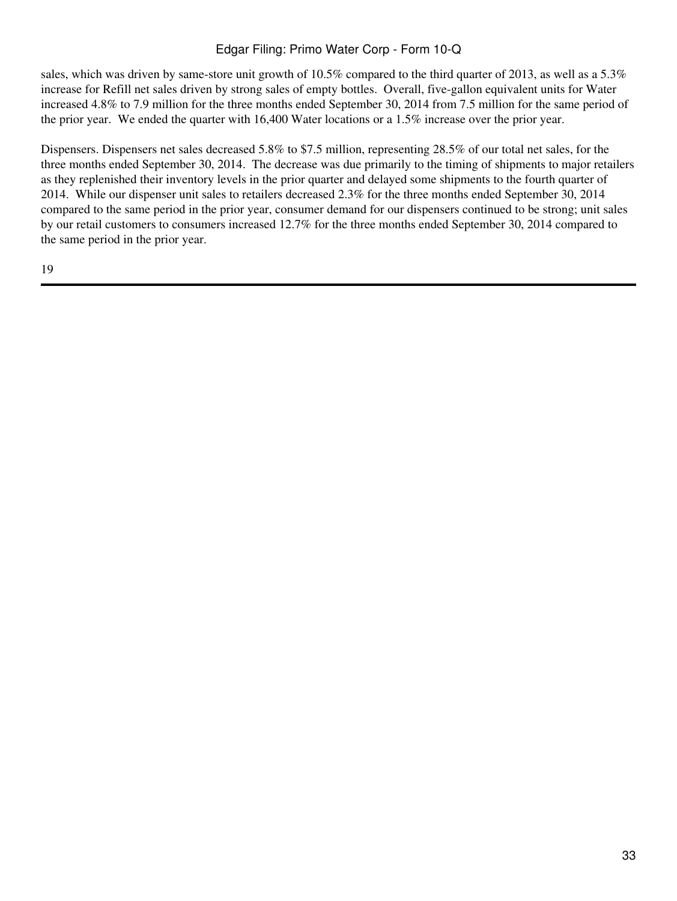sales, which was driven by same-store unit growth of 10.5% compared to the third quarter of 2013, as well as a 5.3% increase for Refill net sales driven by strong sales of empty bottles. Overall, five-gallon equivalent units for Water increased 4.8% to 7.9 million for the three months ended September 30, 2014 from 7.5 million for the same period of the prior year. We ended the quarter with 16,400 Water locations or a 1.5% increase over the prior year.

Dispensers. Dispensers net sales decreased 5.8% to \$7.5 million, representing 28.5% of our total net sales, for the three months ended September 30, 2014. The decrease was due primarily to the timing of shipments to major retailers as they replenished their inventory levels in the prior quarter and delayed some shipments to the fourth quarter of 2014. While our dispenser unit sales to retailers decreased 2.3% for the three months ended September 30, 2014 compared to the same period in the prior year, consumer demand for our dispensers continued to be strong; unit sales by our retail customers to consumers increased 12.7% for the three months ended September 30, 2014 compared to the same period in the prior year.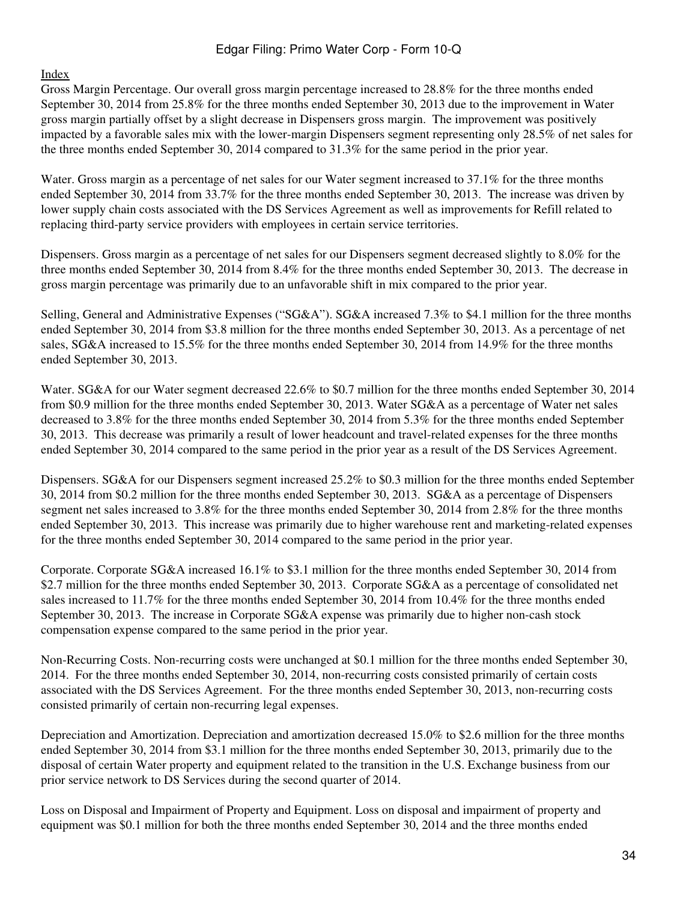#### [Index](#page-2-0)

Gross Margin Percentage. Our overall gross margin percentage increased to 28.8% for the three months ended September 30, 2014 from 25.8% for the three months ended September 30, 2013 due to the improvement in Water gross margin partially offset by a slight decrease in Dispensers gross margin. The improvement was positively impacted by a favorable sales mix with the lower-margin Dispensers segment representing only 28.5% of net sales for the three months ended September 30, 2014 compared to 31.3% for the same period in the prior year.

Water. Gross margin as a percentage of net sales for our Water segment increased to 37.1% for the three months ended September 30, 2014 from 33.7% for the three months ended September 30, 2013. The increase was driven by lower supply chain costs associated with the DS Services Agreement as well as improvements for Refill related to replacing third-party service providers with employees in certain service territories.

Dispensers. Gross margin as a percentage of net sales for our Dispensers segment decreased slightly to 8.0% for the three months ended September 30, 2014 from 8.4% for the three months ended September 30, 2013. The decrease in gross margin percentage was primarily due to an unfavorable shift in mix compared to the prior year.

Selling, General and Administrative Expenses ("SG&A"). SG&A increased 7.3% to \$4.1 million for the three months ended September 30, 2014 from \$3.8 million for the three months ended September 30, 2013. As a percentage of net sales, SG&A increased to 15.5% for the three months ended September 30, 2014 from 14.9% for the three months ended September 30, 2013.

Water. SG&A for our Water segment decreased 22.6% to \$0.7 million for the three months ended September 30, 2014 from \$0.9 million for the three months ended September 30, 2013. Water SG&A as a percentage of Water net sales decreased to 3.8% for the three months ended September 30, 2014 from 5.3% for the three months ended September 30, 2013. This decrease was primarily a result of lower headcount and travel-related expenses for the three months ended September 30, 2014 compared to the same period in the prior year as a result of the DS Services Agreement.

Dispensers. SG&A for our Dispensers segment increased 25.2% to \$0.3 million for the three months ended September 30, 2014 from \$0.2 million for the three months ended September 30, 2013. SG&A as a percentage of Dispensers segment net sales increased to 3.8% for the three months ended September 30, 2014 from 2.8% for the three months ended September 30, 2013. This increase was primarily due to higher warehouse rent and marketing-related expenses for the three months ended September 30, 2014 compared to the same period in the prior year.

Corporate. Corporate SG&A increased 16.1% to \$3.1 million for the three months ended September 30, 2014 from \$2.7 million for the three months ended September 30, 2013. Corporate SG&A as a percentage of consolidated net sales increased to 11.7% for the three months ended September 30, 2014 from 10.4% for the three months ended September 30, 2013. The increase in Corporate SG&A expense was primarily due to higher non-cash stock compensation expense compared to the same period in the prior year.

Non-Recurring Costs. Non-recurring costs were unchanged at \$0.1 million for the three months ended September 30, 2014. For the three months ended September 30, 2014, non-recurring costs consisted primarily of certain costs associated with the DS Services Agreement. For the three months ended September 30, 2013, non-recurring costs consisted primarily of certain non-recurring legal expenses.

Depreciation and Amortization. Depreciation and amortization decreased 15.0% to \$2.6 million for the three months ended September 30, 2014 from \$3.1 million for the three months ended September 30, 2013, primarily due to the disposal of certain Water property and equipment related to the transition in the U.S. Exchange business from our prior service network to DS Services during the second quarter of 2014.

Loss on Disposal and Impairment of Property and Equipment. Loss on disposal and impairment of property and equipment was \$0.1 million for both the three months ended September 30, 2014 and the three months ended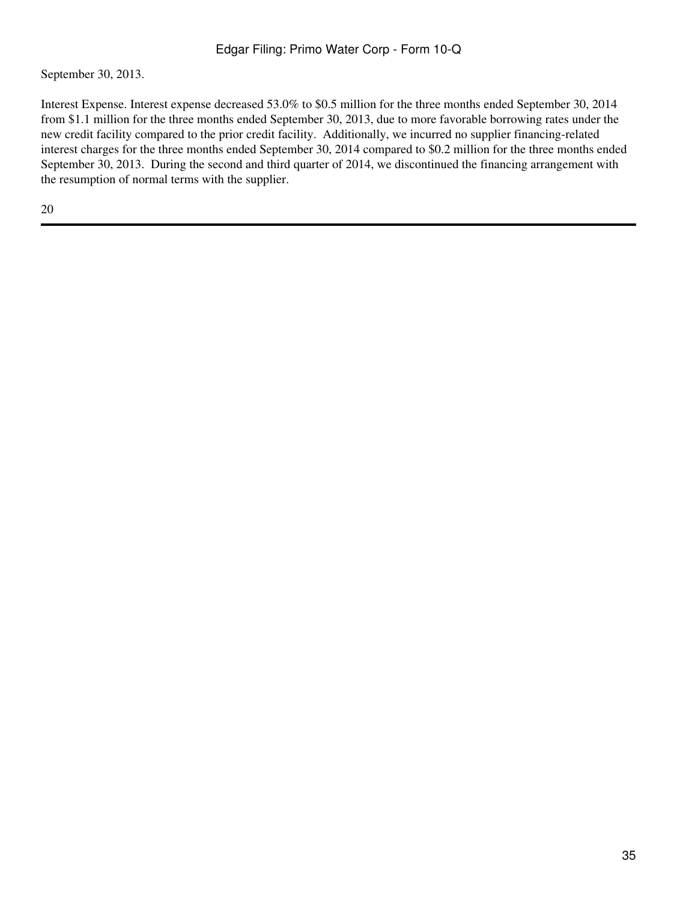September 30, 2013.

Interest Expense. Interest expense decreased 53.0% to \$0.5 million for the three months ended September 30, 2014 from \$1.1 million for the three months ended September 30, 2013, due to more favorable borrowing rates under the new credit facility compared to the prior credit facility. Additionally, we incurred no supplier financing-related interest charges for the three months ended September 30, 2014 compared to \$0.2 million for the three months ended September 30, 2013. During the second and third quarter of 2014, we discontinued the financing arrangement with the resumption of normal terms with the supplier.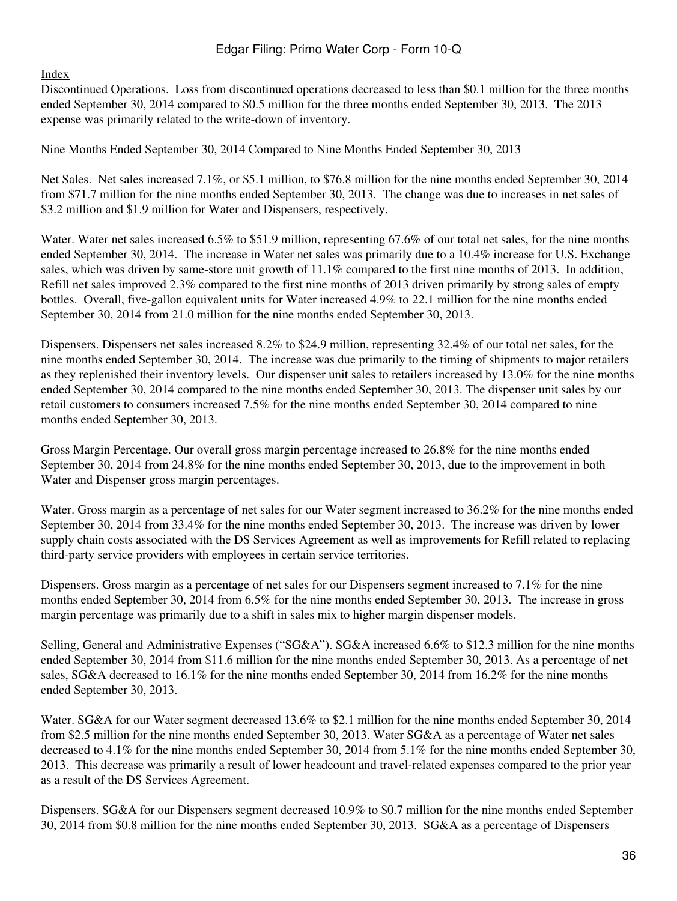## [Index](#page-2-0)

Discontinued Operations. Loss from discontinued operations decreased to less than \$0.1 million for the three months ended September 30, 2014 compared to \$0.5 million for the three months ended September 30, 2013. The 2013 expense was primarily related to the write-down of inventory.

Nine Months Ended September 30, 2014 Compared to Nine Months Ended September 30, 2013

Net Sales. Net sales increased 7.1%, or \$5.1 million, to \$76.8 million for the nine months ended September 30, 2014 from \$71.7 million for the nine months ended September 30, 2013. The change was due to increases in net sales of \$3.2 million and \$1.9 million for Water and Dispensers, respectively.

Water. Water net sales increased 6.5% to \$51.9 million, representing 67.6% of our total net sales, for the nine months ended September 30, 2014. The increase in Water net sales was primarily due to a 10.4% increase for U.S. Exchange sales, which was driven by same-store unit growth of 11.1% compared to the first nine months of 2013. In addition, Refill net sales improved 2.3% compared to the first nine months of 2013 driven primarily by strong sales of empty bottles. Overall, five-gallon equivalent units for Water increased 4.9% to 22.1 million for the nine months ended September 30, 2014 from 21.0 million for the nine months ended September 30, 2013.

Dispensers. Dispensers net sales increased 8.2% to \$24.9 million, representing 32.4% of our total net sales, for the nine months ended September 30, 2014. The increase was due primarily to the timing of shipments to major retailers as they replenished their inventory levels. Our dispenser unit sales to retailers increased by 13.0% for the nine months ended September 30, 2014 compared to the nine months ended September 30, 2013. The dispenser unit sales by our retail customers to consumers increased 7.5% for the nine months ended September 30, 2014 compared to nine months ended September 30, 2013.

Gross Margin Percentage. Our overall gross margin percentage increased to 26.8% for the nine months ended September 30, 2014 from 24.8% for the nine months ended September 30, 2013, due to the improvement in both Water and Dispenser gross margin percentages.

Water. Gross margin as a percentage of net sales for our Water segment increased to 36.2% for the nine months ended September 30, 2014 from 33.4% for the nine months ended September 30, 2013. The increase was driven by lower supply chain costs associated with the DS Services Agreement as well as improvements for Refill related to replacing third-party service providers with employees in certain service territories.

Dispensers. Gross margin as a percentage of net sales for our Dispensers segment increased to 7.1% for the nine months ended September 30, 2014 from 6.5% for the nine months ended September 30, 2013. The increase in gross margin percentage was primarily due to a shift in sales mix to higher margin dispenser models.

Selling, General and Administrative Expenses ("SG&A"). SG&A increased 6.6% to \$12.3 million for the nine months ended September 30, 2014 from \$11.6 million for the nine months ended September 30, 2013. As a percentage of net sales, SG&A decreased to 16.1% for the nine months ended September 30, 2014 from 16.2% for the nine months ended September 30, 2013.

Water. SG&A for our Water segment decreased 13.6% to \$2.1 million for the nine months ended September 30, 2014 from \$2.5 million for the nine months ended September 30, 2013. Water SG&A as a percentage of Water net sales decreased to 4.1% for the nine months ended September 30, 2014 from 5.1% for the nine months ended September 30, 2013. This decrease was primarily a result of lower headcount and travel-related expenses compared to the prior year as a result of the DS Services Agreement.

Dispensers. SG&A for our Dispensers segment decreased 10.9% to \$0.7 million for the nine months ended September 30, 2014 from \$0.8 million for the nine months ended September 30, 2013. SG&A as a percentage of Dispensers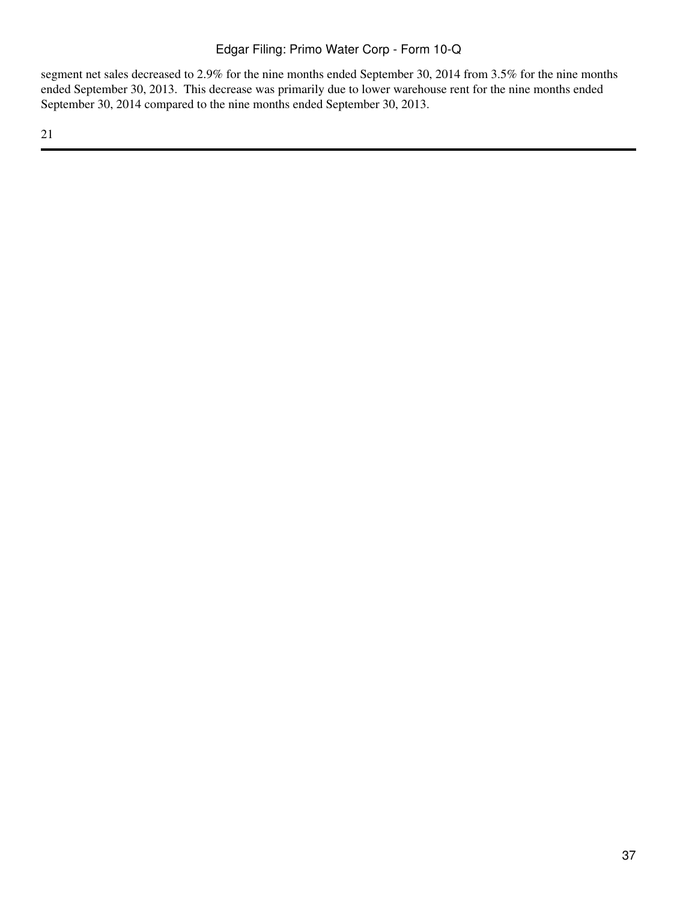segment net sales decreased to 2.9% for the nine months ended September 30, 2014 from 3.5% for the nine months ended September 30, 2013. This decrease was primarily due to lower warehouse rent for the nine months ended September 30, 2014 compared to the nine months ended September 30, 2013.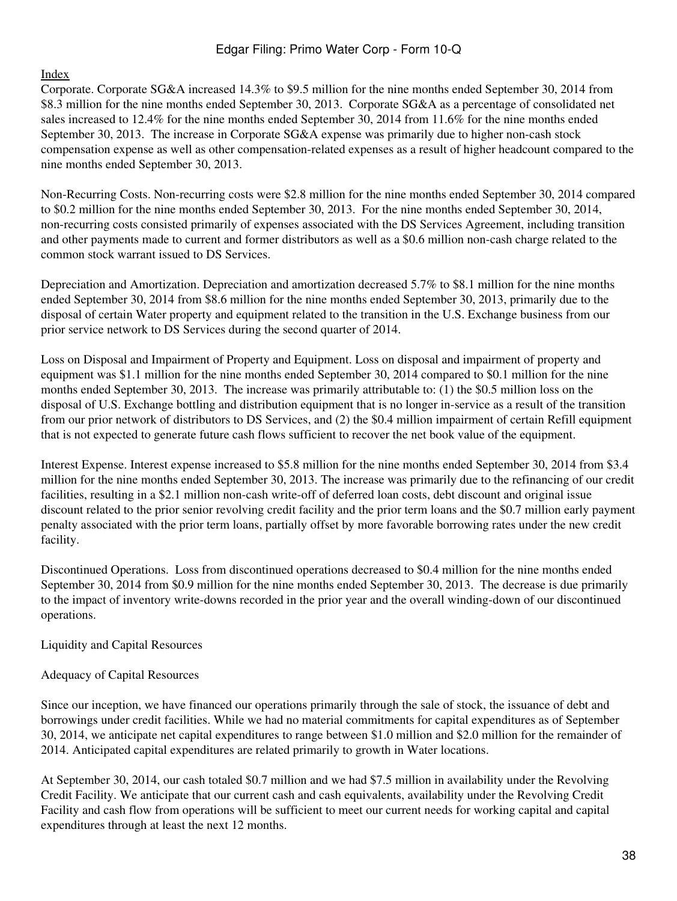#### [Index](#page-2-0)

Corporate. Corporate SG&A increased 14.3% to \$9.5 million for the nine months ended September 30, 2014 from \$8.3 million for the nine months ended September 30, 2013. Corporate SG&A as a percentage of consolidated net sales increased to 12.4% for the nine months ended September 30, 2014 from 11.6% for the nine months ended September 30, 2013. The increase in Corporate SG&A expense was primarily due to higher non-cash stock compensation expense as well as other compensation-related expenses as a result of higher headcount compared to the nine months ended September 30, 2013.

Non-Recurring Costs. Non-recurring costs were \$2.8 million for the nine months ended September 30, 2014 compared to \$0.2 million for the nine months ended September 30, 2013. For the nine months ended September 30, 2014, non-recurring costs consisted primarily of expenses associated with the DS Services Agreement, including transition and other payments made to current and former distributors as well as a \$0.6 million non-cash charge related to the common stock warrant issued to DS Services.

Depreciation and Amortization. Depreciation and amortization decreased 5.7% to \$8.1 million for the nine months ended September 30, 2014 from \$8.6 million for the nine months ended September 30, 2013, primarily due to the disposal of certain Water property and equipment related to the transition in the U.S. Exchange business from our prior service network to DS Services during the second quarter of 2014.

Loss on Disposal and Impairment of Property and Equipment. Loss on disposal and impairment of property and equipment was \$1.1 million for the nine months ended September 30, 2014 compared to \$0.1 million for the nine months ended September 30, 2013. The increase was primarily attributable to: (1) the \$0.5 million loss on the disposal of U.S. Exchange bottling and distribution equipment that is no longer in-service as a result of the transition from our prior network of distributors to DS Services, and (2) the \$0.4 million impairment of certain Refill equipment that is not expected to generate future cash flows sufficient to recover the net book value of the equipment.

Interest Expense. Interest expense increased to \$5.8 million for the nine months ended September 30, 2014 from \$3.4 million for the nine months ended September 30, 2013. The increase was primarily due to the refinancing of our credit facilities, resulting in a \$2.1 million non-cash write-off of deferred loan costs, debt discount and original issue discount related to the prior senior revolving credit facility and the prior term loans and the \$0.7 million early payment penalty associated with the prior term loans, partially offset by more favorable borrowing rates under the new credit facility.

Discontinued Operations. Loss from discontinued operations decreased to \$0.4 million for the nine months ended September 30, 2014 from \$0.9 million for the nine months ended September 30, 2013. The decrease is due primarily to the impact of inventory write-downs recorded in the prior year and the overall winding-down of our discontinued operations.

Liquidity and Capital Resources

## Adequacy of Capital Resources

Since our inception, we have financed our operations primarily through the sale of stock, the issuance of debt and borrowings under credit facilities. While we had no material commitments for capital expenditures as of September 30, 2014, we anticipate net capital expenditures to range between \$1.0 million and \$2.0 million for the remainder of 2014. Anticipated capital expenditures are related primarily to growth in Water locations.

At September 30, 2014, our cash totaled \$0.7 million and we had \$7.5 million in availability under the Revolving Credit Facility. We anticipate that our current cash and cash equivalents, availability under the Revolving Credit Facility and cash flow from operations will be sufficient to meet our current needs for working capital and capital expenditures through at least the next 12 months.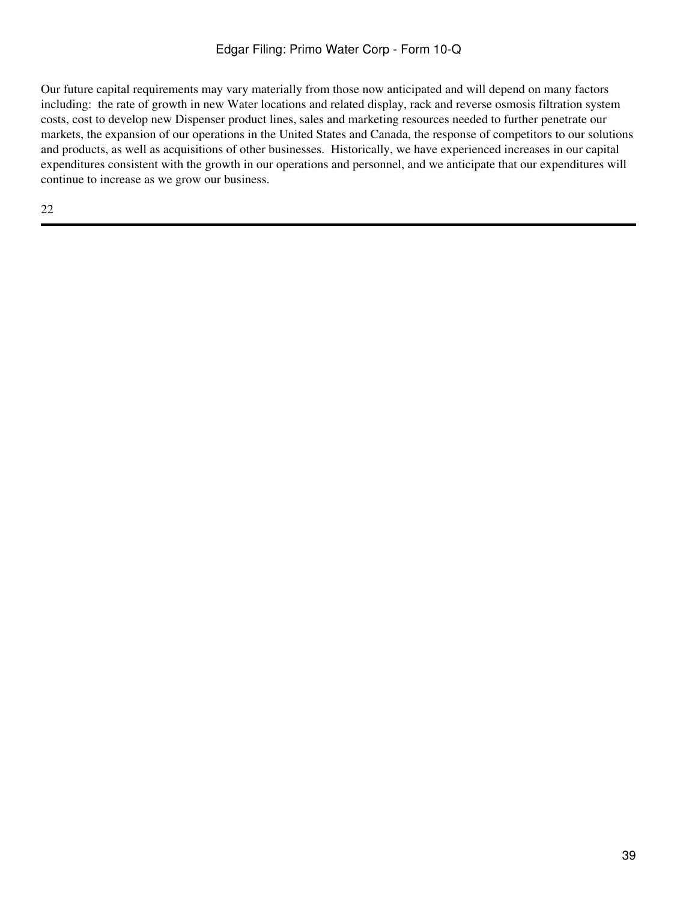Our future capital requirements may vary materially from those now anticipated and will depend on many factors including: the rate of growth in new Water locations and related display, rack and reverse osmosis filtration system costs, cost to develop new Dispenser product lines, sales and marketing resources needed to further penetrate our markets, the expansion of our operations in the United States and Canada, the response of competitors to our solutions and products, as well as acquisitions of other businesses. Historically, we have experienced increases in our capital expenditures consistent with the growth in our operations and personnel, and we anticipate that our expenditures will continue to increase as we grow our business.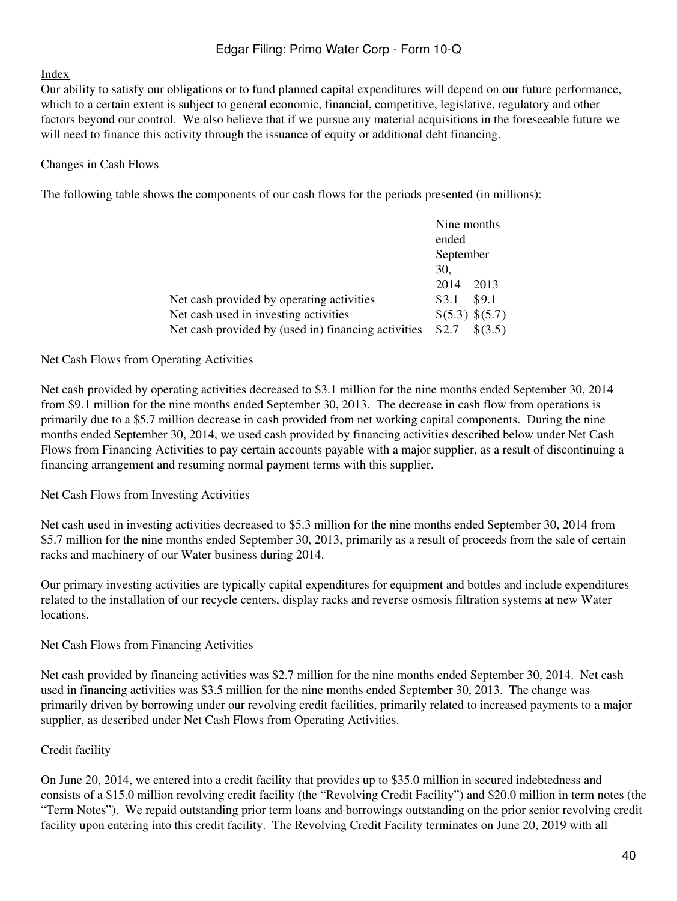#### [Index](#page-2-0)

Our ability to satisfy our obligations or to fund planned capital expenditures will depend on our future performance, which to a certain extent is subject to general economic, financial, competitive, legislative, regulatory and other factors beyond our control. We also believe that if we pursue any material acquisitions in the foreseeable future we will need to finance this activity through the issuance of equity or additional debt financing.

#### Changes in Cash Flows

The following table shows the components of our cash flows for the periods presented (in millions):

|                                                     | Nine months        |  |
|-----------------------------------------------------|--------------------|--|
|                                                     | ended              |  |
|                                                     | September          |  |
|                                                     | 30.                |  |
|                                                     | 2014<br>2013       |  |
| Net cash provided by operating activities           | \$9.1<br>\$3.1     |  |
| Net cash used in investing activities               | \$(5.3) \$(5.7)    |  |
| Net cash provided by (used in) financing activities | \$2.7<br>$\$(3.5)$ |  |

#### Net Cash Flows from Operating Activities

Net cash provided by operating activities decreased to \$3.1 million for the nine months ended September 30, 2014 from \$9.1 million for the nine months ended September 30, 2013. The decrease in cash flow from operations is primarily due to a \$5.7 million decrease in cash provided from net working capital components. During the nine months ended September 30, 2014, we used cash provided by financing activities described below under Net Cash Flows from Financing Activities to pay certain accounts payable with a major supplier, as a result of discontinuing a financing arrangement and resuming normal payment terms with this supplier.

#### Net Cash Flows from Investing Activities

Net cash used in investing activities decreased to \$5.3 million for the nine months ended September 30, 2014 from \$5.7 million for the nine months ended September 30, 2013, primarily as a result of proceeds from the sale of certain racks and machinery of our Water business during 2014.

Our primary investing activities are typically capital expenditures for equipment and bottles and include expenditures related to the installation of our recycle centers, display racks and reverse osmosis filtration systems at new Water locations.

## Net Cash Flows from Financing Activities

Net cash provided by financing activities was \$2.7 million for the nine months ended September 30, 2014. Net cash used in financing activities was \$3.5 million for the nine months ended September 30, 2013. The change was primarily driven by borrowing under our revolving credit facilities, primarily related to increased payments to a major supplier, as described under Net Cash Flows from Operating Activities.

## Credit facility

On June 20, 2014, we entered into a credit facility that provides up to \$35.0 million in secured indebtedness and consists of a \$15.0 million revolving credit facility (the "Revolving Credit Facility") and \$20.0 million in term notes (the "Term Notes"). We repaid outstanding prior term loans and borrowings outstanding on the prior senior revolving credit facility upon entering into this credit facility. The Revolving Credit Facility terminates on June 20, 2019 with all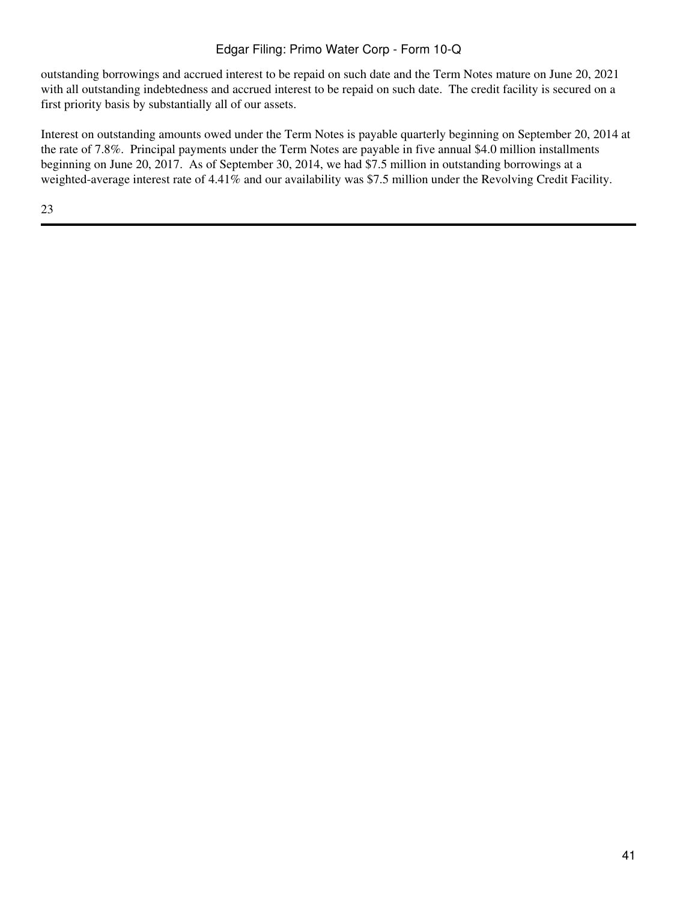outstanding borrowings and accrued interest to be repaid on such date and the Term Notes mature on June 20, 2021 with all outstanding indebtedness and accrued interest to be repaid on such date. The credit facility is secured on a first priority basis by substantially all of our assets.

Interest on outstanding amounts owed under the Term Notes is payable quarterly beginning on September 20, 2014 at the rate of 7.8%. Principal payments under the Term Notes are payable in five annual \$4.0 million installments beginning on June 20, 2017. As of September 30, 2014, we had \$7.5 million in outstanding borrowings at a weighted-average interest rate of 4.41% and our availability was \$7.5 million under the Revolving Credit Facility.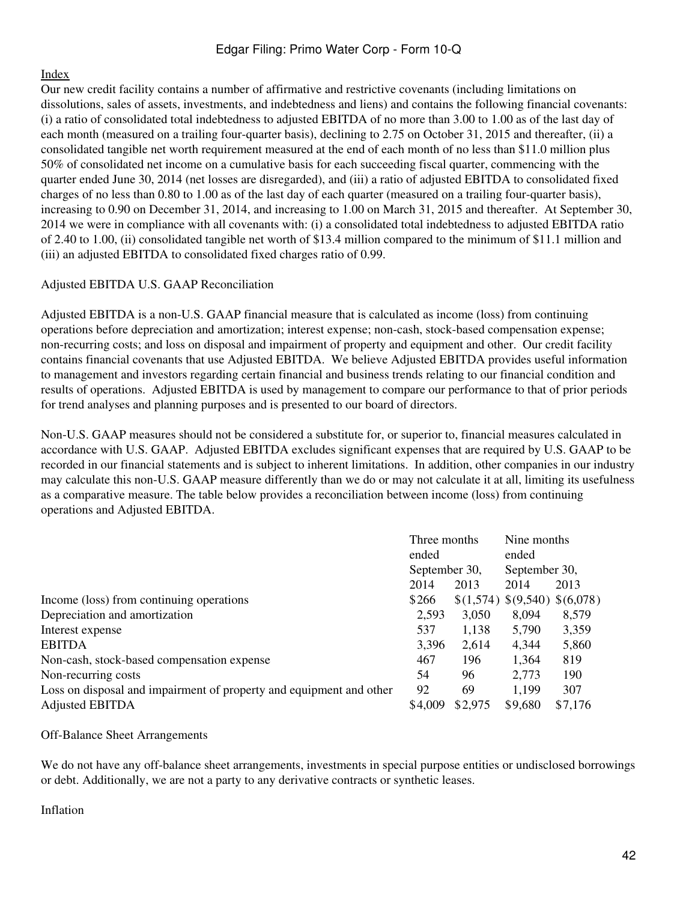## [Index](#page-2-0)

Our new credit facility contains a number of affirmative and restrictive covenants (including limitations on dissolutions, sales of assets, investments, and indebtedness and liens) and contains the following financial covenants: (i) a ratio of consolidated total indebtedness to adjusted EBITDA of no more than 3.00 to 1.00 as of the last day of each month (measured on a trailing four-quarter basis), declining to 2.75 on October 31, 2015 and thereafter, (ii) a consolidated tangible net worth requirement measured at the end of each month of no less than \$11.0 million plus 50% of consolidated net income on a cumulative basis for each succeeding fiscal quarter, commencing with the quarter ended June 30, 2014 (net losses are disregarded), and (iii) a ratio of adjusted EBITDA to consolidated fixed charges of no less than 0.80 to 1.00 as of the last day of each quarter (measured on a trailing four-quarter basis), increasing to 0.90 on December 31, 2014, and increasing to 1.00 on March 31, 2015 and thereafter. At September 30, 2014 we were in compliance with all covenants with: (i) a consolidated total indebtedness to adjusted EBITDA ratio of 2.40 to 1.00, (ii) consolidated tangible net worth of \$13.4 million compared to the minimum of \$11.1 million and (iii) an adjusted EBITDA to consolidated fixed charges ratio of 0.99.

## Adjusted EBITDA U.S. GAAP Reconciliation

Adjusted EBITDA is a non-U.S. GAAP financial measure that is calculated as income (loss) from continuing operations before depreciation and amortization; interest expense; non-cash, stock-based compensation expense; non-recurring costs; and loss on disposal and impairment of property and equipment and other. Our credit facility contains financial covenants that use Adjusted EBITDA. We believe Adjusted EBITDA provides useful information to management and investors regarding certain financial and business trends relating to our financial condition and results of operations. Adjusted EBITDA is used by management to compare our performance to that of prior periods for trend analyses and planning purposes and is presented to our board of directors.

Non-U.S. GAAP measures should not be considered a substitute for, or superior to, financial measures calculated in accordance with U.S. GAAP. Adjusted EBITDA excludes significant expenses that are required by U.S. GAAP to be recorded in our financial statements and is subject to inherent limitations. In addition, other companies in our industry may calculate this non-U.S. GAAP measure differently than we do or may not calculate it at all, limiting its usefulness as a comparative measure. The table below provides a reconciliation between income (loss) from continuing operations and Adjusted EBITDA.

|                                                                     | Three months                   |         | Nine months                   |         |
|---------------------------------------------------------------------|--------------------------------|---------|-------------------------------|---------|
|                                                                     | ended                          |         | ended                         |         |
|                                                                     | September 30,<br>September 30, |         |                               |         |
|                                                                     | 2014                           | 2013    | 2014                          | 2013    |
| Income (loss) from continuing operations                            | \$266                          |         | \$(1,574) \$(9,540) \$(6,078) |         |
| Depreciation and amortization                                       | 2,593                          | 3,050   | 8,094                         | 8,579   |
| Interest expense                                                    | 537                            | 1,138   | 5,790                         | 3,359   |
| <b>EBITDA</b>                                                       | 3,396                          | 2,614   | 4,344                         | 5,860   |
| Non-cash, stock-based compensation expense                          | 467                            | 196     | 1,364                         | 819     |
| Non-recurring costs                                                 | 54                             | 96      | 2,773                         | 190     |
| Loss on disposal and impairment of property and equipment and other | 92                             | 69      | 1,199                         | 307     |
| <b>Adjusted EBITDA</b>                                              | \$4,009                        | \$2,975 | \$9,680                       | \$7,176 |

#### Off-Balance Sheet Arrangements

We do not have any off-balance sheet arrangements, investments in special purpose entities or undisclosed borrowings or debt. Additionally, we are not a party to any derivative contracts or synthetic leases.

Inflation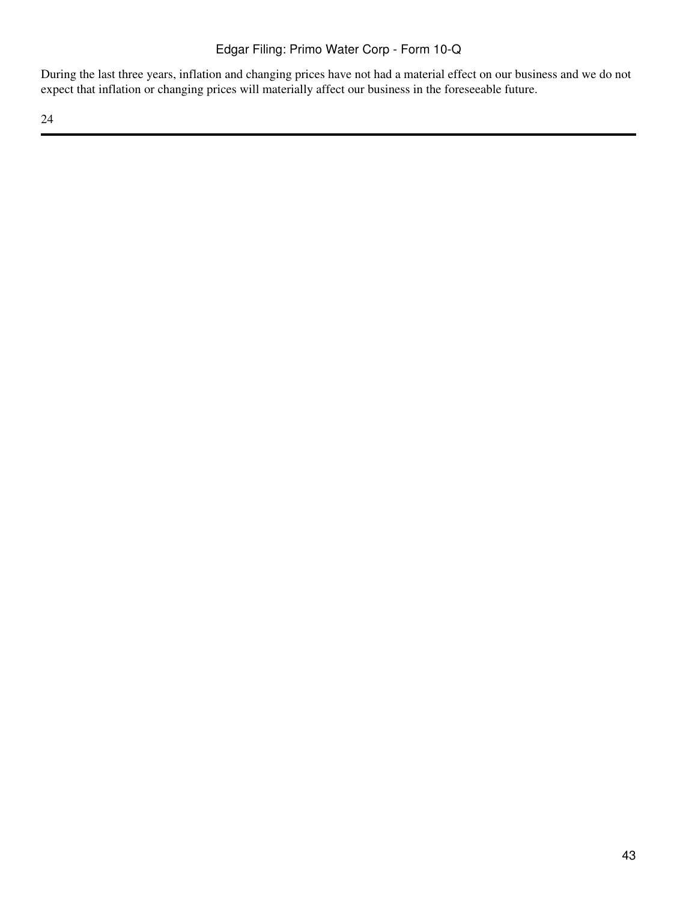During the last three years, inflation and changing prices have not had a material effect on our business and we do not expect that inflation or changing prices will materially affect our business in the foreseeable future.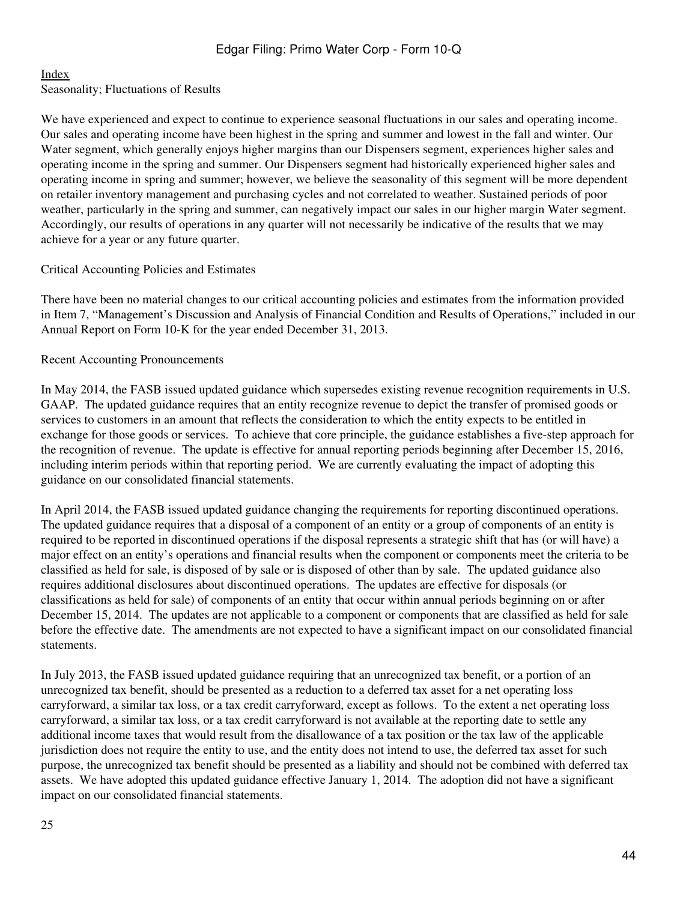#### [Index](#page-2-0)

Seasonality; Fluctuations of Results

We have experienced and expect to continue to experience seasonal fluctuations in our sales and operating income. Our sales and operating income have been highest in the spring and summer and lowest in the fall and winter. Our Water segment, which generally enjoys higher margins than our Dispensers segment, experiences higher sales and operating income in the spring and summer. Our Dispensers segment had historically experienced higher sales and operating income in spring and summer; however, we believe the seasonality of this segment will be more dependent on retailer inventory management and purchasing cycles and not correlated to weather. Sustained periods of poor weather, particularly in the spring and summer, can negatively impact our sales in our higher margin Water segment. Accordingly, our results of operations in any quarter will not necessarily be indicative of the results that we may achieve for a year or any future quarter.

#### Critical Accounting Policies and Estimates

There have been no material changes to our critical accounting policies and estimates from the information provided in Item 7, "Management's Discussion and Analysis of Financial Condition and Results of Operations," included in our Annual Report on Form 10-K for the year ended December 31, 2013.

#### Recent Accounting Pronouncements

In May 2014, the FASB issued updated guidance which supersedes existing revenue recognition requirements in U.S. GAAP. The updated guidance requires that an entity recognize revenue to depict the transfer of promised goods or services to customers in an amount that reflects the consideration to which the entity expects to be entitled in exchange for those goods or services. To achieve that core principle, the guidance establishes a five-step approach for the recognition of revenue. The update is effective for annual reporting periods beginning after December 15, 2016, including interim periods within that reporting period. We are currently evaluating the impact of adopting this guidance on our consolidated financial statements.

In April 2014, the FASB issued updated guidance changing the requirements for reporting discontinued operations. The updated guidance requires that a disposal of a component of an entity or a group of components of an entity is required to be reported in discontinued operations if the disposal represents a strategic shift that has (or will have) a major effect on an entity's operations and financial results when the component or components meet the criteria to be classified as held for sale, is disposed of by sale or is disposed of other than by sale. The updated guidance also requires additional disclosures about discontinued operations. The updates are effective for disposals (or classifications as held for sale) of components of an entity that occur within annual periods beginning on or after December 15, 2014. The updates are not applicable to a component or components that are classified as held for sale before the effective date. The amendments are not expected to have a significant impact on our consolidated financial statements.

In July 2013, the FASB issued updated guidance requiring that an unrecognized tax benefit, or a portion of an unrecognized tax benefit, should be presented as a reduction to a deferred tax asset for a net operating loss carryforward, a similar tax loss, or a tax credit carryforward, except as follows. To the extent a net operating loss carryforward, a similar tax loss, or a tax credit carryforward is not available at the reporting date to settle any additional income taxes that would result from the disallowance of a tax position or the tax law of the applicable jurisdiction does not require the entity to use, and the entity does not intend to use, the deferred tax asset for such purpose, the unrecognized tax benefit should be presented as a liability and should not be combined with deferred tax assets. We have adopted this updated guidance effective January 1, 2014. The adoption did not have a significant impact on our consolidated financial statements.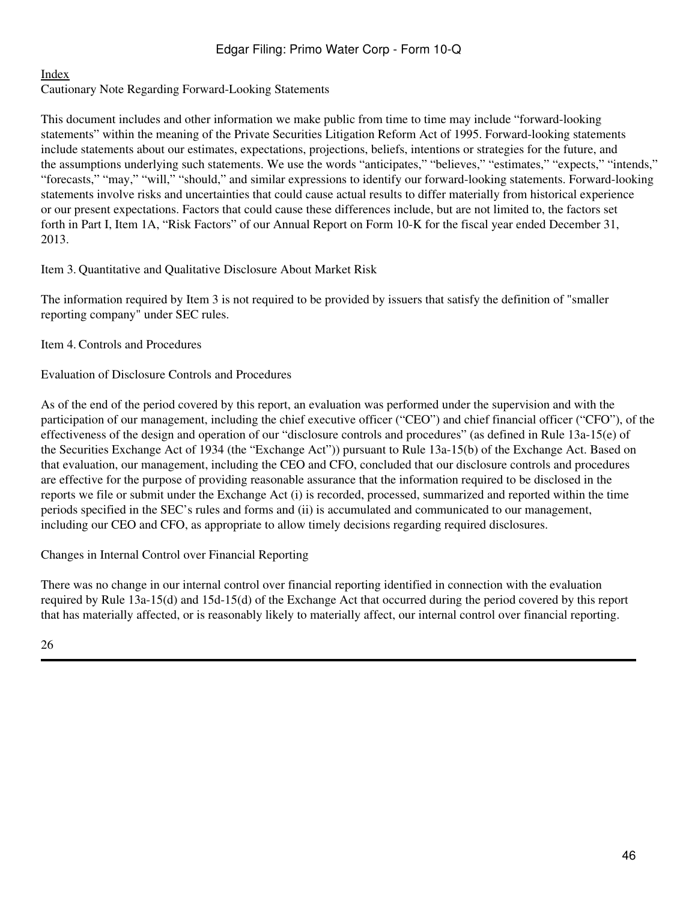## [Index](#page-2-0)

Cautionary Note Regarding Forward-Looking Statements

This document includes and other information we make public from time to time may include "forward-looking statements" within the meaning of the Private Securities Litigation Reform Act of 1995. Forward-looking statements include statements about our estimates, expectations, projections, beliefs, intentions or strategies for the future, and the assumptions underlying such statements. We use the words "anticipates," "believes," "estimates," "expects," "intends," "forecasts," "may," "will," "should," and similar expressions to identify our forward-looking statements. Forward-looking statements involve risks and uncertainties that could cause actual results to differ materially from historical experience or our present expectations. Factors that could cause these differences include, but are not limited to, the factors set forth in Part I, Item 1A, "Risk Factors" of our Annual Report on Form 10-K for the fiscal year ended December 31, 2013.

## <span id="page-45-0"></span>Item 3. Quantitative and Qualitative Disclosure About Market Risk

The information required by Item 3 is not required to be provided by issuers that satisfy the definition of "smaller reporting company" under SEC rules.

<span id="page-45-1"></span>Item 4. Controls and Procedures

Evaluation of Disclosure Controls and Procedures

As of the end of the period covered by this report, an evaluation was performed under the supervision and with the participation of our management, including the chief executive officer ("CEO") and chief financial officer ("CFO"), of the effectiveness of the design and operation of our "disclosure controls and procedures" (as defined in Rule 13a-15(e) of the Securities Exchange Act of 1934 (the "Exchange Act")) pursuant to Rule 13a-15(b) of the Exchange Act. Based on that evaluation, our management, including the CEO and CFO, concluded that our disclosure controls and procedures are effective for the purpose of providing reasonable assurance that the information required to be disclosed in the reports we file or submit under the Exchange Act (i) is recorded, processed, summarized and reported within the time periods specified in the SEC's rules and forms and (ii) is accumulated and communicated to our management, including our CEO and CFO, as appropriate to allow timely decisions regarding required disclosures.

Changes in Internal Control over Financial Reporting

There was no change in our internal control over financial reporting identified in connection with the evaluation required by Rule 13a-15(d) and 15d-15(d) of the Exchange Act that occurred during the period covered by this report that has materially affected, or is reasonably likely to materially affect, our internal control over financial reporting.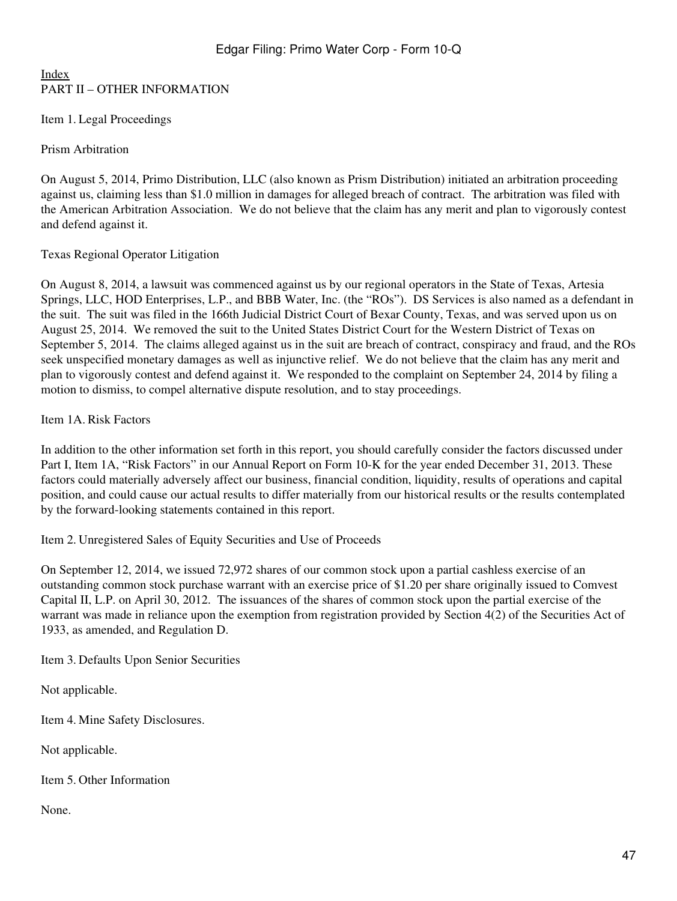## [Index](#page-2-0) PART II – OTHER INFORMATION

<span id="page-46-0"></span>Item 1. Legal Proceedings

Prism Arbitration

On August 5, 2014, Primo Distribution, LLC (also known as Prism Distribution) initiated an arbitration proceeding against us, claiming less than \$1.0 million in damages for alleged breach of contract. The arbitration was filed with the American Arbitration Association. We do not believe that the claim has any merit and plan to vigorously contest and defend against it.

## Texas Regional Operator Litigation

On August 8, 2014, a lawsuit was commenced against us by our regional operators in the State of Texas, Artesia Springs, LLC, HOD Enterprises, L.P., and BBB Water, Inc. (the "ROs"). DS Services is also named as a defendant in the suit. The suit was filed in the 166th Judicial District Court of Bexar County, Texas, and was served upon us on August 25, 2014. We removed the suit to the United States District Court for the Western District of Texas on September 5, 2014. The claims alleged against us in the suit are breach of contract, conspiracy and fraud, and the ROs seek unspecified monetary damages as well as injunctive relief. We do not believe that the claim has any merit and plan to vigorously contest and defend against it. We responded to the complaint on September 24, 2014 by filing a motion to dismiss, to compel alternative dispute resolution, and to stay proceedings.

## <span id="page-46-1"></span>Item 1A. Risk Factors

In addition to the other information set forth in this report, you should carefully consider the factors discussed under Part I, Item 1A, "Risk Factors" in our Annual Report on Form 10-K for the year ended December 31, 2013. These factors could materially adversely affect our business, financial condition, liquidity, results of operations and capital position, and could cause our actual results to differ materially from our historical results or the results contemplated by the forward-looking statements contained in this report.

<span id="page-46-2"></span>Item 2. Unregistered Sales of Equity Securities and Use of Proceeds

On September 12, 2014, we issued 72,972 shares of our common stock upon a partial cashless exercise of an outstanding common stock purchase warrant with an exercise price of \$1.20 per share originally issued to Comvest Capital II, L.P. on April 30, 2012. The issuances of the shares of common stock upon the partial exercise of the warrant was made in reliance upon the exemption from registration provided by Section 4(2) of the Securities Act of 1933, as amended, and Regulation D.

<span id="page-46-3"></span>Item 3. Defaults Upon Senior Securities

Not applicable.

<span id="page-46-4"></span>Item 4. Mine Safety Disclosures.

Not applicable.

<span id="page-46-5"></span>Item 5. Other Information

None.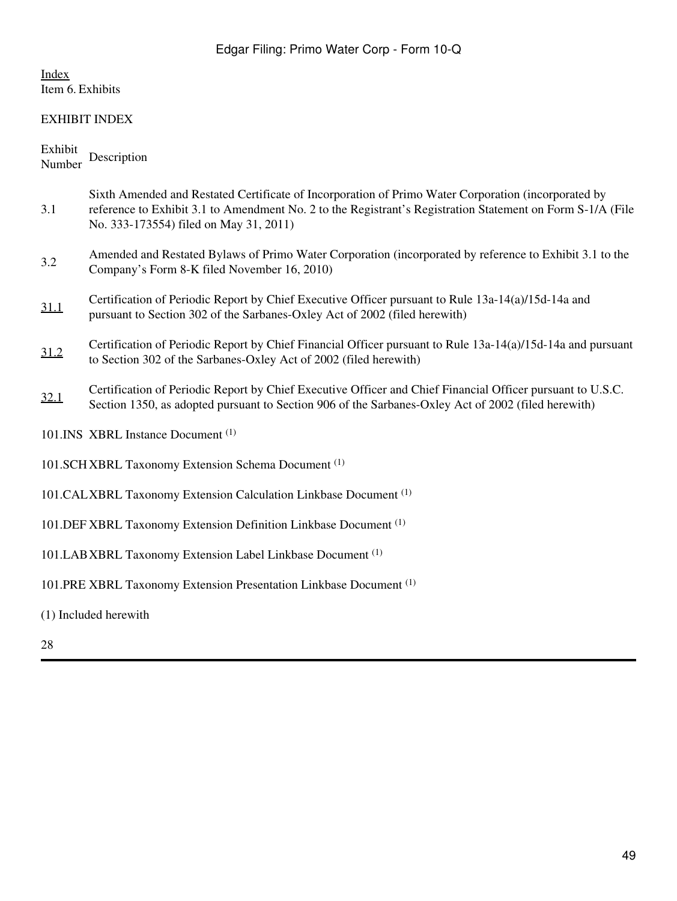# <span id="page-48-0"></span>[Index](#page-2-0) Item 6. Exhibits

# EXHIBIT INDEX

# Exhibit Number Description

| 3.1  | Sixth Amended and Restated Certificate of Incorporation of Primo Water Corporation (incorporated by<br>reference to Exhibit 3.1 to Amendment No. 2 to the Registrant's Registration Statement on Form S-1/A (File<br>No. 333-173554) filed on May 31, 2011) |
|------|-------------------------------------------------------------------------------------------------------------------------------------------------------------------------------------------------------------------------------------------------------------|
| 3.2  | Amended and Restated Bylaws of Primo Water Corporation (incorporated by reference to Exhibit 3.1 to the<br>Company's Form 8-K filed November 16, 2010)                                                                                                      |
| 31.1 | Certification of Periodic Report by Chief Executive Officer pursuant to Rule 13a-14(a)/15d-14a and<br>pursuant to Section 302 of the Sarbanes-Oxley Act of 2002 (filed herewith)                                                                            |
| 31.2 | Certification of Periodic Report by Chief Financial Officer pursuant to Rule 13a-14(a)/15d-14a and pursuant<br>to Section 302 of the Sarbanes-Oxley Act of 2002 (filed herewith)                                                                            |
| 32.1 | Certification of Periodic Report by Chief Executive Officer and Chief Financial Officer pursuant to U.S.C.<br>Section 1350, as adopted pursuant to Section 906 of the Sarbanes-Oxley Act of 2002 (filed herewith)                                           |
|      | 101.INS XBRL Instance Document <sup>(1)</sup>                                                                                                                                                                                                               |
|      | 101.SCH XBRL Taxonomy Extension Schema Document <sup>(1)</sup>                                                                                                                                                                                              |
|      | 101. CALXBRL Taxonomy Extension Calculation Linkbase Document (1)                                                                                                                                                                                           |
|      | 101. DEF XBRL Taxonomy Extension Definition Linkbase Document <sup>(1)</sup>                                                                                                                                                                                |
|      | 101.LAB XBRL Taxonomy Extension Label Linkbase Document <sup>(1)</sup>                                                                                                                                                                                      |
|      | 101. PRE XBRL Taxonomy Extension Presentation Linkbase Document <sup>(1)</sup>                                                                                                                                                                              |

- (1) Included herewith
- 28